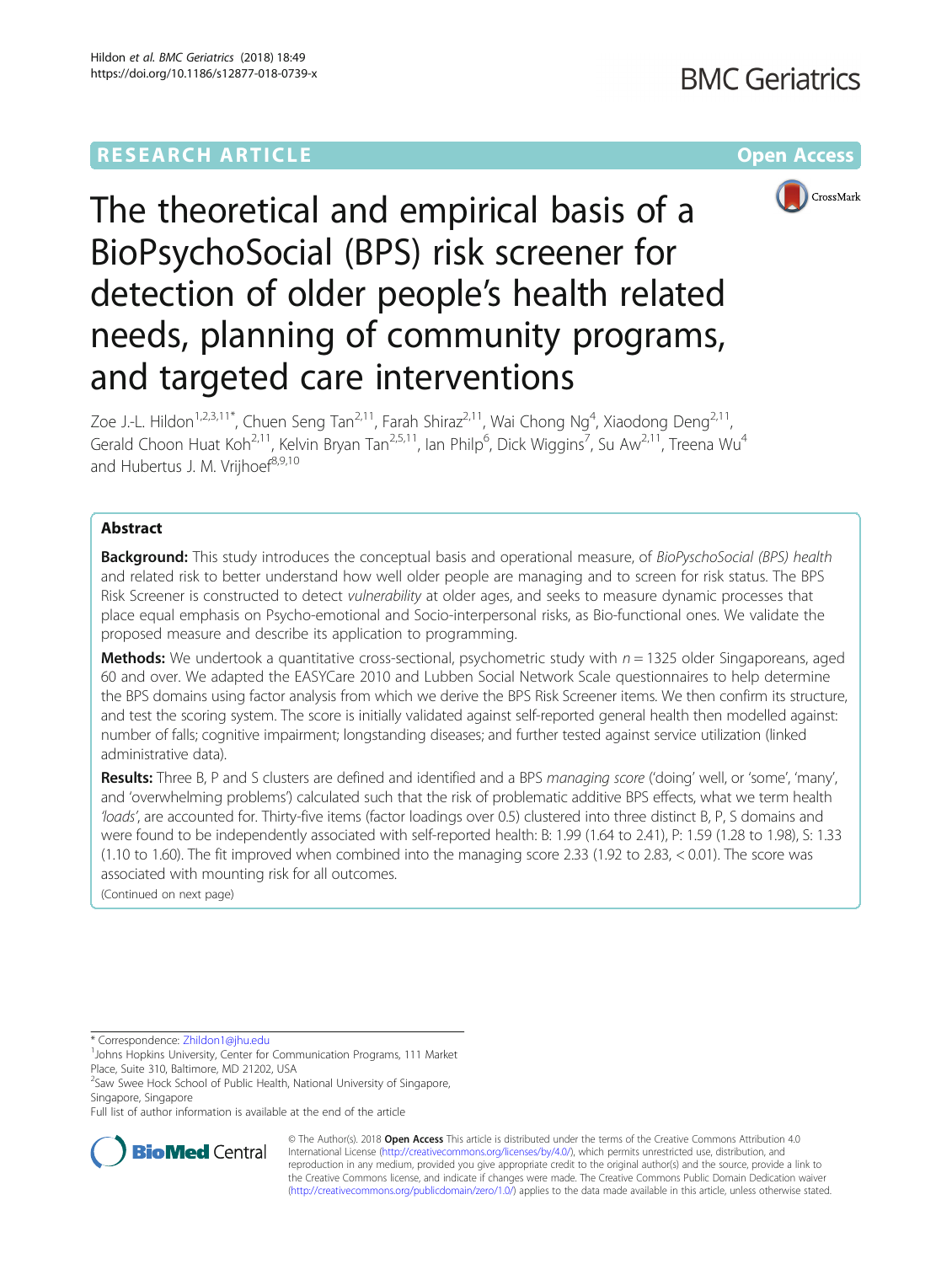

The theoretical and empirical basis of a BioPsychoSocial (BPS) risk screener for detection of older people's health related needs, planning of community programs, and targeted care interventions

Zoe J.-L. Hildon<sup>1,2,3,11\*</sup>, Chuen Seng Tan<sup>2,11</sup>, Farah Shiraz<sup>2,11</sup>, Wai Chong Ng<sup>4</sup>, Xiaodong Deng<sup>2,11</sup>, Gerald Choon Huat Koh<sup>2,11</sup>, Kelvin Bryan Tan<sup>2,5,11</sup>, Ian Philp<sup>6</sup>, Dick Wiggins<sup>7</sup>, Su Aw<sup>2,11</sup>, Treena Wu<sup>4</sup> and Hubertus J. M. Vrijhoef<sup>8,9,10</sup>

# Abstract

Background: This study introduces the conceptual basis and operational measure, of BioPyschoSocial (BPS) health and related risk to better understand how well older people are managing and to screen for risk status. The BPS Risk Screener is constructed to detect vulnerability at older ages, and seeks to measure dynamic processes that place equal emphasis on Psycho-emotional and Socio-interpersonal risks, as Bio-functional ones. We validate the proposed measure and describe its application to programming.

**Methods:** We undertook a quantitative cross-sectional, psychometric study with  $n = 1325$  older Singaporeans, aged 60 and over. We adapted the EASYCare 2010 and Lubben Social Network Scale questionnaires to help determine the BPS domains using factor analysis from which we derive the BPS Risk Screener items. We then confirm its structure, and test the scoring system. The score is initially validated against self-reported general health then modelled against: number of falls; cognitive impairment; longstanding diseases; and further tested against service utilization (linked administrative data).

Results: Three B, P and S clusters are defined and identified and a BPS managing score ('doing' well, or 'some', 'many', and 'overwhelming problems') calculated such that the risk of problematic additive BPS effects, what we term health 'loads', are accounted for. Thirty-five items (factor loadings over 0.5) clustered into three distinct B, P, S domains and were found to be independently associated with self-reported health: B: 1.99 (1.64 to 2.41), P: 1.59 (1.28 to 1.98), S: 1.33 (1.10 to 1.60). The fit improved when combined into the managing score 2.33 (1.92 to 2.83, < 0.01). The score was associated with mounting risk for all outcomes.

(Continued on next page)

\* Correspondence: [Zhildon1@jhu.edu](mailto:Zhildon1@jhu.edu) <sup>1</sup>

<sup>2</sup>Saw Swee Hock School of Public Health, National University of Singapore, Singapore, Singapore

Full list of author information is available at the end of the article



© The Author(s). 2018 Open Access This article is distributed under the terms of the Creative Commons Attribution 4.0 International License [\(http://creativecommons.org/licenses/by/4.0/](http://creativecommons.org/licenses/by/4.0/)), which permits unrestricted use, distribution, and reproduction in any medium, provided you give appropriate credit to the original author(s) and the source, provide a link to the Creative Commons license, and indicate if changes were made. The Creative Commons Public Domain Dedication waiver [\(http://creativecommons.org/publicdomain/zero/1.0/](http://creativecommons.org/publicdomain/zero/1.0/)) applies to the data made available in this article, unless otherwise stated.

<sup>&</sup>lt;sup>1</sup> Johns Hopkins University, Center for Communication Programs, 111 Market Place, Suite 310, Baltimore, MD 21202, USA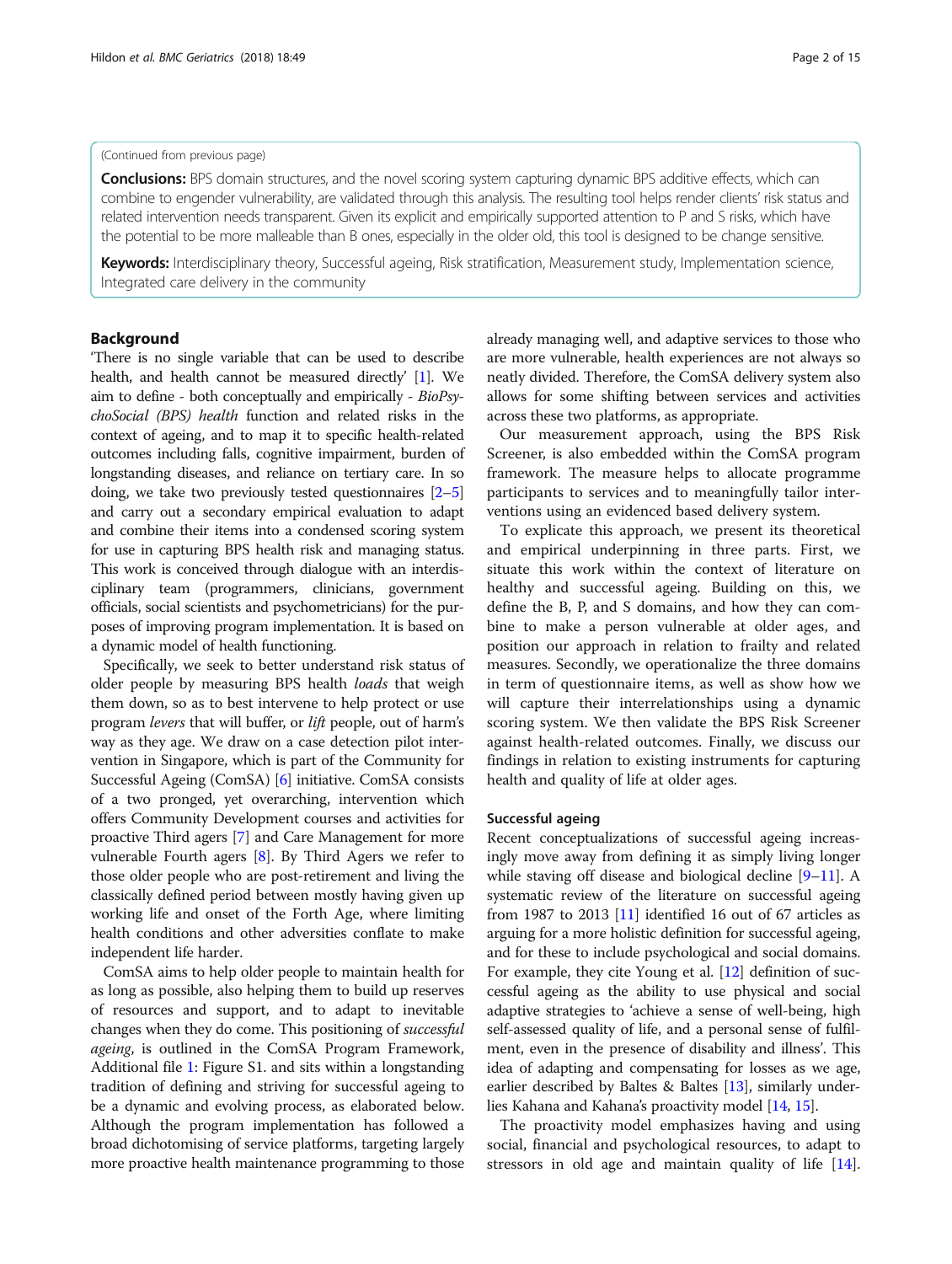## (Continued from previous page)

**Conclusions:** BPS domain structures, and the novel scoring system capturing dynamic BPS additive effects, which can combine to engender vulnerability, are validated through this analysis. The resulting tool helps render clients' risk status and related intervention needs transparent. Given its explicit and empirically supported attention to P and S risks, which have the potential to be more malleable than B ones, especially in the older old, this tool is designed to be change sensitive.

Keywords: Interdisciplinary theory, Successful ageing, Risk stratification, Measurement study, Implementation science, Integrated care delivery in the community

# Background

'There is no single variable that can be used to describe health, and health cannot be measured directly' [\[1\]](#page-13-0). We aim to define - both conceptually and empirically - BioPsychoSocial (BPS) health function and related risks in the context of ageing, and to map it to specific health-related outcomes including falls, cognitive impairment, burden of longstanding diseases, and reliance on tertiary care. In so doing, we take two previously tested questionnaires [\[2](#page-13-0)–[5](#page-13-0)] and carry out a secondary empirical evaluation to adapt and combine their items into a condensed scoring system for use in capturing BPS health risk and managing status. This work is conceived through dialogue with an interdisciplinary team (programmers, clinicians, government officials, social scientists and psychometricians) for the purposes of improving program implementation. It is based on a dynamic model of health functioning.

Specifically, we seek to better understand risk status of older people by measuring BPS health *loads* that weigh them down, so as to best intervene to help protect or use program levers that will buffer, or lift people, out of harm's way as they age. We draw on a case detection pilot intervention in Singapore, which is part of the Community for Successful Ageing (ComSA) [[6\]](#page-13-0) initiative. ComSA consists of a two pronged, yet overarching, intervention which offers Community Development courses and activities for proactive Third agers [\[7](#page-13-0)] and Care Management for more vulnerable Fourth agers [[8](#page-13-0)]. By Third Agers we refer to those older people who are post-retirement and living the classically defined period between mostly having given up working life and onset of the Forth Age, where limiting health conditions and other adversities conflate to make independent life harder.

ComSA aims to help older people to maintain health for as long as possible, also helping them to build up reserves of resources and support, and to adapt to inevitable changes when they do come. This positioning of successful ageing, is outlined in the ComSA Program Framework, Additional file [1:](#page-12-0) Figure S1. and sits within a longstanding tradition of defining and striving for successful ageing to be a dynamic and evolving process, as elaborated below. Although the program implementation has followed a broad dichotomising of service platforms, targeting largely more proactive health maintenance programming to those already managing well, and adaptive services to those who are more vulnerable, health experiences are not always so neatly divided. Therefore, the ComSA delivery system also allows for some shifting between services and activities across these two platforms, as appropriate.

Our measurement approach, using the BPS Risk Screener, is also embedded within the ComSA program framework. The measure helps to allocate programme participants to services and to meaningfully tailor interventions using an evidenced based delivery system.

To explicate this approach, we present its theoretical and empirical underpinning in three parts. First, we situate this work within the context of literature on healthy and successful ageing. Building on this, we define the B, P, and S domains, and how they can combine to make a person vulnerable at older ages, and position our approach in relation to frailty and related measures. Secondly, we operationalize the three domains in term of questionnaire items, as well as show how we will capture their interrelationships using a dynamic scoring system. We then validate the BPS Risk Screener against health-related outcomes. Finally, we discuss our findings in relation to existing instruments for capturing health and quality of life at older ages.

## Successful ageing

Recent conceptualizations of successful ageing increasingly move away from defining it as simply living longer while staving off disease and biological decline [[9](#page-13-0)–[11\]](#page-13-0). A systematic review of the literature on successful ageing from 1987 to 2013 [[11](#page-13-0)] identified 16 out of 67 articles as arguing for a more holistic definition for successful ageing, and for these to include psychological and social domains. For example, they cite Young et al. [\[12\]](#page-13-0) definition of successful ageing as the ability to use physical and social adaptive strategies to 'achieve a sense of well-being, high self-assessed quality of life, and a personal sense of fulfilment, even in the presence of disability and illness'. This idea of adapting and compensating for losses as we age, earlier described by Baltes & Baltes [[13\]](#page-13-0), similarly underlies Kahana and Kahana's proactivity model [\[14,](#page-13-0) [15\]](#page-13-0).

The proactivity model emphasizes having and using social, financial and psychological resources, to adapt to stressors in old age and maintain quality of life [\[14](#page-13-0)].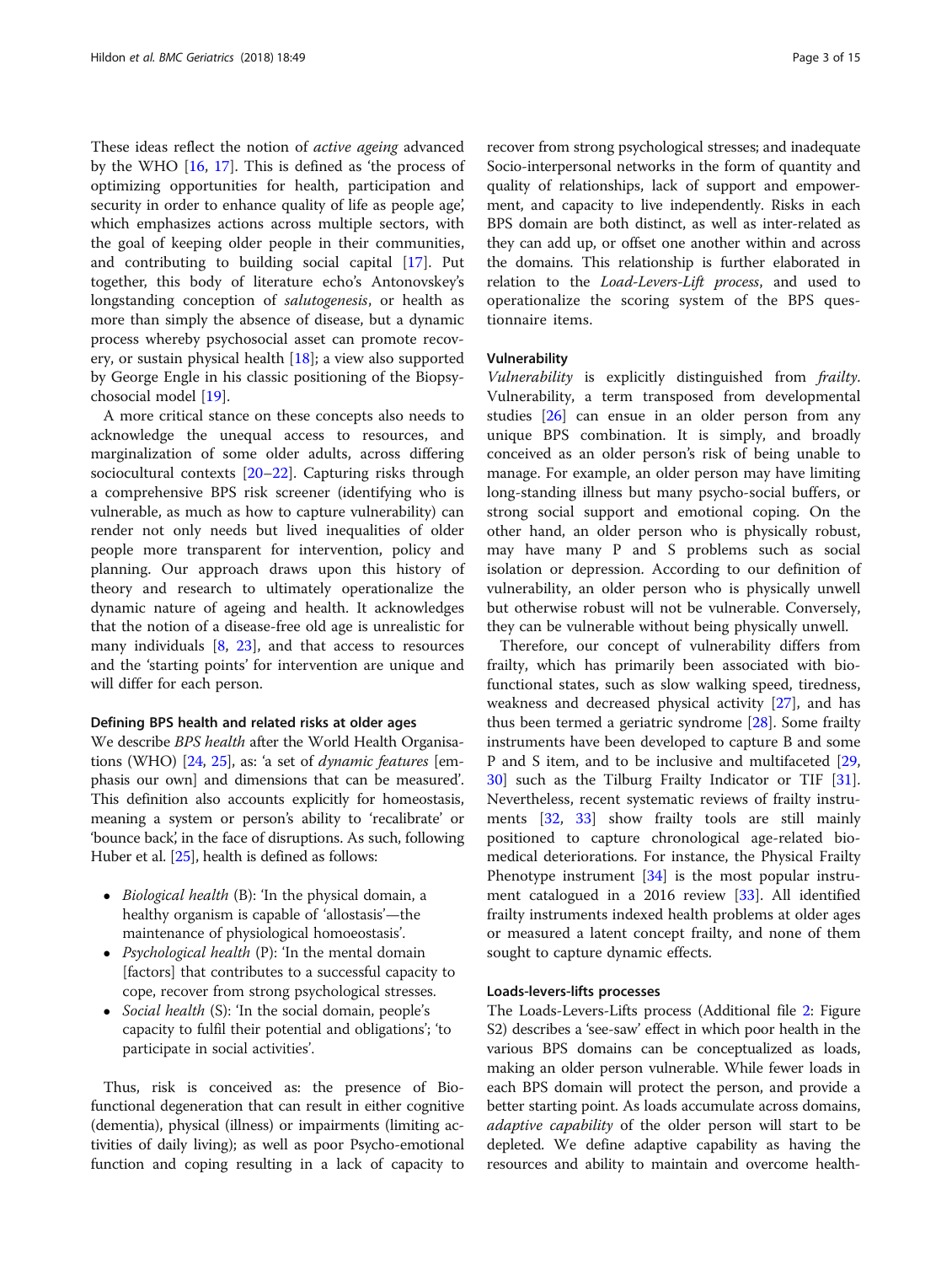These ideas reflect the notion of *active ageing* advanced by the WHO [\[16](#page-13-0), [17\]](#page-13-0). This is defined as 'the process of optimizing opportunities for health, participation and security in order to enhance quality of life as people age', which emphasizes actions across multiple sectors, with the goal of keeping older people in their communities, and contributing to building social capital [[17\]](#page-13-0). Put together, this body of literature echo's Antonovskey's longstanding conception of salutogenesis, or health as more than simply the absence of disease, but a dynamic process whereby psychosocial asset can promote recovery, or sustain physical health [\[18\]](#page-13-0); a view also supported by George Engle in his classic positioning of the Biopsychosocial model [[19\]](#page-13-0).

A more critical stance on these concepts also needs to acknowledge the unequal access to resources, and marginalization of some older adults, across differing sociocultural contexts [[20](#page-13-0)–[22](#page-13-0)]. Capturing risks through a comprehensive BPS risk screener (identifying who is vulnerable, as much as how to capture vulnerability) can render not only needs but lived inequalities of older people more transparent for intervention, policy and planning. Our approach draws upon this history of theory and research to ultimately operationalize the dynamic nature of ageing and health. It acknowledges that the notion of a disease-free old age is unrealistic for many individuals  $[8, 23]$  $[8, 23]$  $[8, 23]$ , and that access to resources and the 'starting points' for intervention are unique and will differ for each person.

## Defining BPS health and related risks at older ages

We describe BPS health after the World Health Organisations (WHO) [\[24,](#page-13-0) [25\]](#page-13-0), as: 'a set of dynamic features [emphasis our own] and dimensions that can be measured'. This definition also accounts explicitly for homeostasis, meaning a system or person's ability to 'recalibrate' or 'bounce back', in the face of disruptions. As such, following Huber et al. [[25](#page-13-0)], health is defined as follows:

- Biological health (B): 'In the physical domain, a healthy organism is capable of 'allostasis'—the maintenance of physiological homoeostasis'.
- Psychological health (P): 'In the mental domain [factors] that contributes to a successful capacity to cope, recover from strong psychological stresses.
- *Social health* (S): 'In the social domain, people's capacity to fulfil their potential and obligations'; 'to participate in social activities'.

Thus, risk is conceived as: the presence of Biofunctional degeneration that can result in either cognitive (dementia), physical (illness) or impairments (limiting activities of daily living); as well as poor Psycho-emotional function and coping resulting in a lack of capacity to recover from strong psychological stresses; and inadequate Socio-interpersonal networks in the form of quantity and quality of relationships, lack of support and empowerment, and capacity to live independently. Risks in each BPS domain are both distinct, as well as inter-related as they can add up, or offset one another within and across the domains. This relationship is further elaborated in relation to the *Load-Levers-Lift process*, and used to operationalize the scoring system of the BPS questionnaire items.

# Vulnerability

Vulnerability is explicitly distinguished from frailty. Vulnerability, a term transposed from developmental studies [[26\]](#page-13-0) can ensue in an older person from any unique BPS combination. It is simply, and broadly conceived as an older person's risk of being unable to manage. For example, an older person may have limiting long-standing illness but many psycho-social buffers, or strong social support and emotional coping. On the other hand, an older person who is physically robust, may have many P and S problems such as social isolation or depression. According to our definition of vulnerability, an older person who is physically unwell but otherwise robust will not be vulnerable. Conversely, they can be vulnerable without being physically unwell.

Therefore, our concept of vulnerability differs from frailty, which has primarily been associated with biofunctional states, such as slow walking speed, tiredness, weakness and decreased physical activity [[27](#page-13-0)], and has thus been termed a geriatric syndrome [[28\]](#page-13-0). Some frailty instruments have been developed to capture B and some P and S item, and to be inclusive and multifaceted [[29](#page-13-0), [30\]](#page-13-0) such as the Tilburg Frailty Indicator or TIF [\[31](#page-13-0)]. Nevertheless, recent systematic reviews of frailty instruments [[32](#page-13-0), [33](#page-13-0)] show frailty tools are still mainly positioned to capture chronological age-related biomedical deteriorations. For instance, the Physical Frailty Phenotype instrument [[34\]](#page-13-0) is the most popular instrument catalogued in a 2016 review [[33](#page-13-0)]. All identified frailty instruments indexed health problems at older ages or measured a latent concept frailty, and none of them sought to capture dynamic effects.

## Loads-levers-lifts processes

The Loads-Levers-Lifts process (Additional file [2](#page-12-0): Figure S2) describes a 'see-saw' effect in which poor health in the various BPS domains can be conceptualized as loads, making an older person vulnerable. While fewer loads in each BPS domain will protect the person, and provide a better starting point. As loads accumulate across domains, adaptive capability of the older person will start to be depleted. We define adaptive capability as having the resources and ability to maintain and overcome health-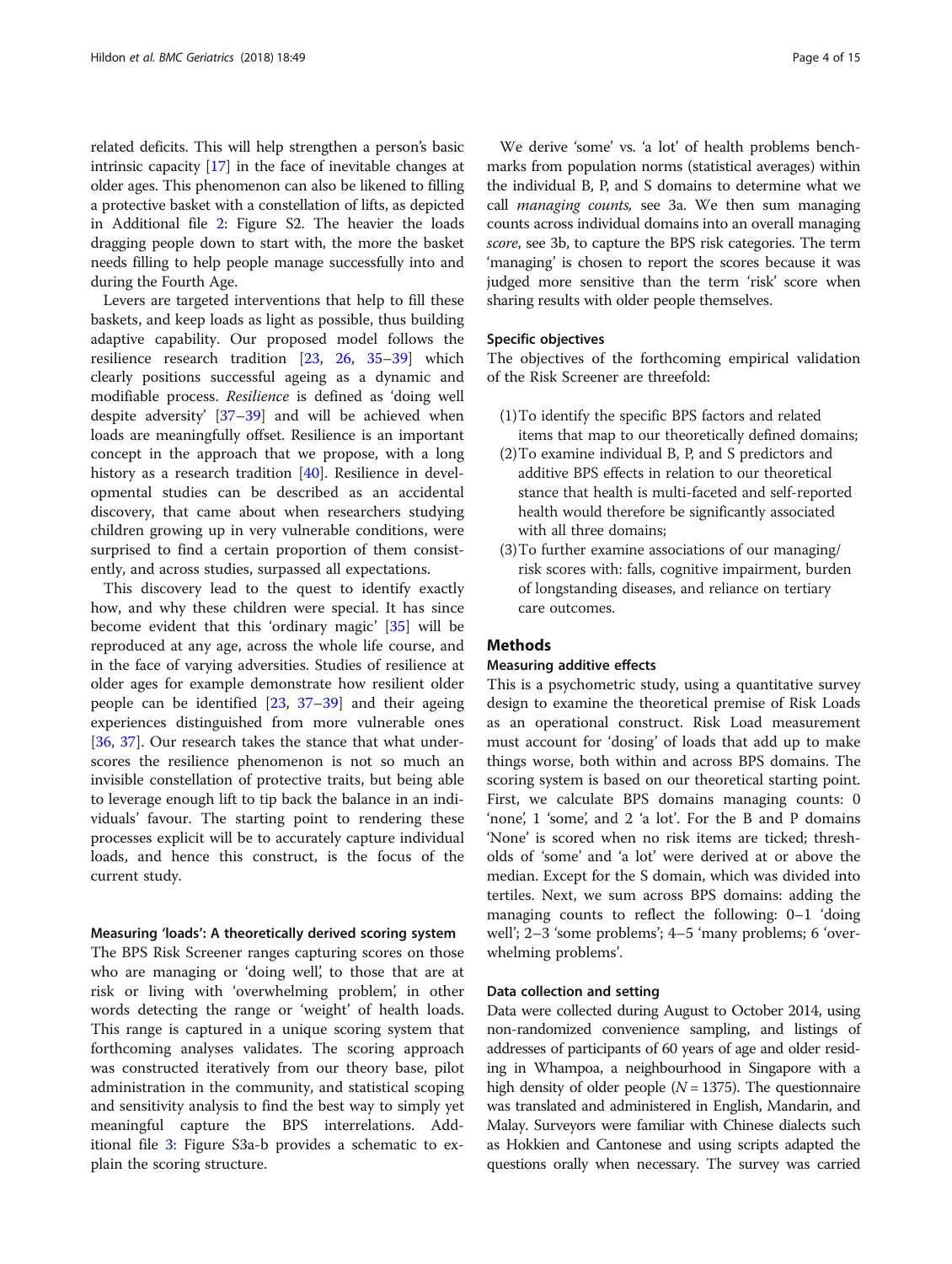related deficits. This will help strengthen a person's basic intrinsic capacity [[17](#page-13-0)] in the face of inevitable changes at older ages. This phenomenon can also be likened to filling a protective basket with a constellation of lifts, as depicted in Additional file [2](#page-12-0): Figure S2. The heavier the loads dragging people down to start with, the more the basket needs filling to help people manage successfully into and during the Fourth Age.

Levers are targeted interventions that help to fill these baskets, and keep loads as light as possible, thus building adaptive capability. Our proposed model follows the resilience research tradition [\[23](#page-13-0), [26,](#page-13-0) [35](#page-13-0)–[39](#page-13-0)] which clearly positions successful ageing as a dynamic and modifiable process. Resilience is defined as 'doing well despite adversity' [[37](#page-13-0)–[39](#page-13-0)] and will be achieved when loads are meaningfully offset. Resilience is an important concept in the approach that we propose, with a long history as a research tradition [\[40\]](#page-13-0). Resilience in developmental studies can be described as an accidental discovery, that came about when researchers studying children growing up in very vulnerable conditions, were surprised to find a certain proportion of them consistently, and across studies, surpassed all expectations.

This discovery lead to the quest to identify exactly how, and why these children were special. It has since become evident that this 'ordinary magic' [[35\]](#page-13-0) will be reproduced at any age, across the whole life course, and in the face of varying adversities. Studies of resilience at older ages for example demonstrate how resilient older people can be identified [\[23](#page-13-0), [37](#page-13-0)–[39\]](#page-13-0) and their ageing experiences distinguished from more vulnerable ones [[36,](#page-13-0) [37](#page-13-0)]. Our research takes the stance that what underscores the resilience phenomenon is not so much an invisible constellation of protective traits, but being able to leverage enough lift to tip back the balance in an individuals' favour. The starting point to rendering these processes explicit will be to accurately capture individual loads, and hence this construct, is the focus of the current study.

## Measuring 'loads': A theoretically derived scoring system

The BPS Risk Screener ranges capturing scores on those who are managing or 'doing well', to those that are at risk or living with 'overwhelming problem', in other words detecting the range or 'weight' of health loads. This range is captured in a unique scoring system that forthcoming analyses validates. The scoring approach was constructed iteratively from our theory base, pilot administration in the community, and statistical scoping and sensitivity analysis to find the best way to simply yet meaningful capture the BPS interrelations. Additional file [3](#page-12-0): Figure S3a-b provides a schematic to explain the scoring structure.

We derive 'some' vs. 'a lot' of health problems benchmarks from population norms (statistical averages) within the individual B, P, and S domains to determine what we call *managing counts*, see 3a. We then sum managing counts across individual domains into an overall managing score, see 3b, to capture the BPS risk categories. The term 'managing' is chosen to report the scores because it was judged more sensitive than the term 'risk' score when sharing results with older people themselves.

# Specific objectives

The objectives of the forthcoming empirical validation of the Risk Screener are threefold:

- (1)To identify the specific BPS factors and related items that map to our theoretically defined domains;
- (2)To examine individual B, P, and S predictors and additive BPS effects in relation to our theoretical stance that health is multi-faceted and self-reported health would therefore be significantly associated with all three domains;
- (3)To further examine associations of our managing/ risk scores with: falls, cognitive impairment, burden of longstanding diseases, and reliance on tertiary care outcomes.

# **Methods**

## Measuring additive effects

This is a psychometric study, using a quantitative survey design to examine the theoretical premise of Risk Loads as an operational construct. Risk Load measurement must account for 'dosing' of loads that add up to make things worse, both within and across BPS domains. The scoring system is based on our theoretical starting point. First, we calculate BPS domains managing counts: 0 'none', 1 'some', and 2 'a lot'. For the B and P domains 'None' is scored when no risk items are ticked; thresholds of 'some' and 'a lot' were derived at or above the median. Except for the S domain, which was divided into tertiles. Next, we sum across BPS domains: adding the managing counts to reflect the following: 0–1 'doing well'; 2–3 'some problems'; 4–5 'many problems; 6 'overwhelming problems'.

# Data collection and setting

Data were collected during August to October 2014, using non-randomized convenience sampling, and listings of addresses of participants of 60 years of age and older residing in Whampoa, a neighbourhood in Singapore with a high density of older people ( $N = 1375$ ). The questionnaire was translated and administered in English, Mandarin, and Malay. Surveyors were familiar with Chinese dialects such as Hokkien and Cantonese and using scripts adapted the questions orally when necessary. The survey was carried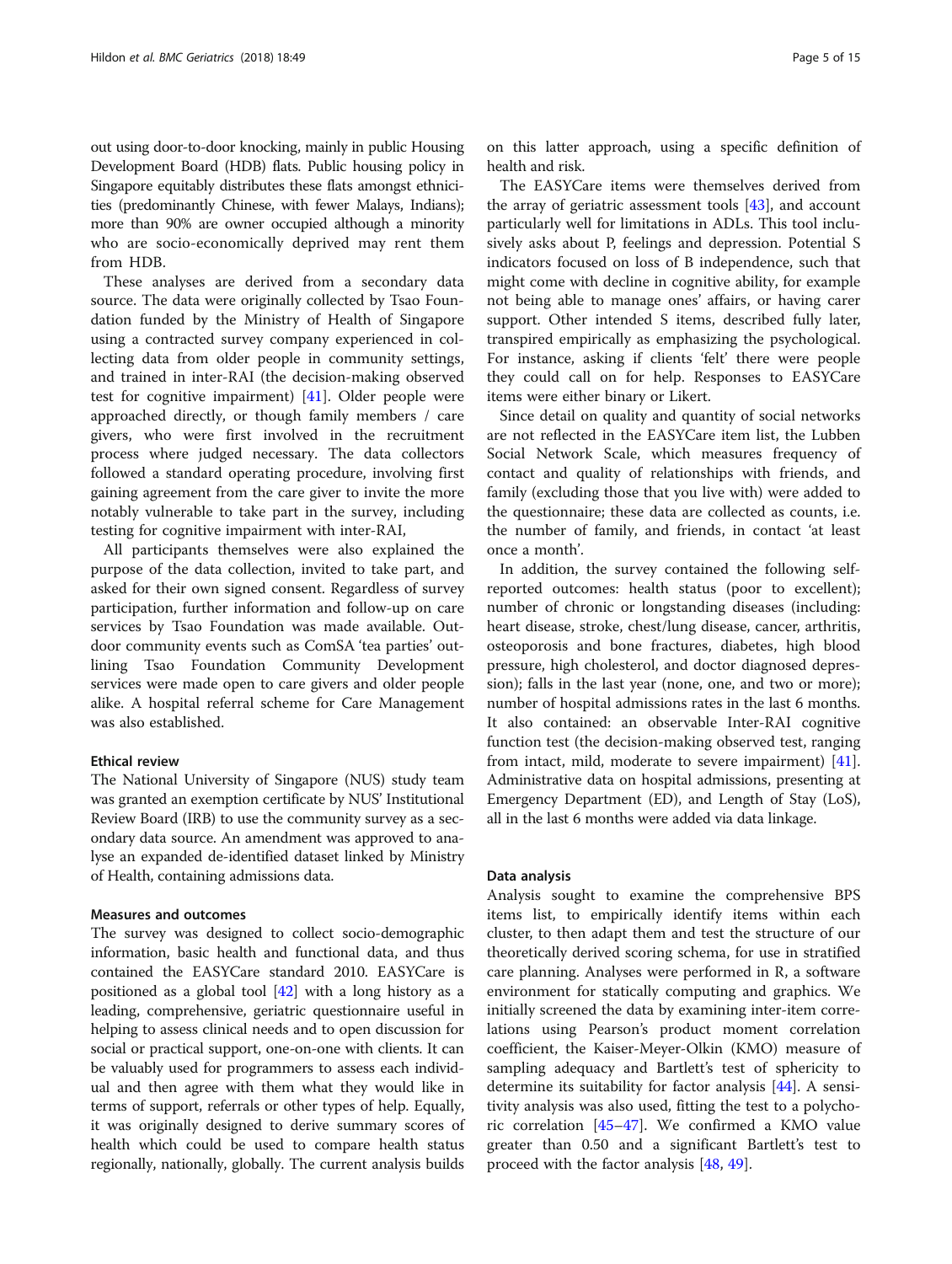out using door-to-door knocking, mainly in public Housing Development Board (HDB) flats. Public housing policy in Singapore equitably distributes these flats amongst ethnicities (predominantly Chinese, with fewer Malays, Indians); more than 90% are owner occupied although a minority who are socio-economically deprived may rent them from HDB.

These analyses are derived from a secondary data source. The data were originally collected by Tsao Foundation funded by the Ministry of Health of Singapore using a contracted survey company experienced in collecting data from older people in community settings, and trained in inter-RAI (the decision-making observed test for cognitive impairment) [[41\]](#page-13-0). Older people were approached directly, or though family members / care givers, who were first involved in the recruitment process where judged necessary. The data collectors followed a standard operating procedure, involving first gaining agreement from the care giver to invite the more notably vulnerable to take part in the survey, including testing for cognitive impairment with inter-RAI,

All participants themselves were also explained the purpose of the data collection, invited to take part, and asked for their own signed consent. Regardless of survey participation, further information and follow-up on care services by Tsao Foundation was made available. Outdoor community events such as ComSA 'tea parties' outlining Tsao Foundation Community Development services were made open to care givers and older people alike. A hospital referral scheme for Care Management was also established.

## Ethical review

The National University of Singapore (NUS) study team was granted an exemption certificate by NUS' Institutional Review Board (IRB) to use the community survey as a secondary data source. An amendment was approved to analyse an expanded de-identified dataset linked by Ministry of Health, containing admissions data.

# Measures and outcomes

The survey was designed to collect socio-demographic information, basic health and functional data, and thus contained the EASYCare standard 2010. EASYCare is positioned as a global tool [\[42\]](#page-13-0) with a long history as a leading, comprehensive, geriatric questionnaire useful in helping to assess clinical needs and to open discussion for social or practical support, one-on-one with clients. It can be valuably used for programmers to assess each individual and then agree with them what they would like in terms of support, referrals or other types of help. Equally, it was originally designed to derive summary scores of health which could be used to compare health status regionally, nationally, globally. The current analysis builds

on this latter approach, using a specific definition of health and risk.

The EASYCare items were themselves derived from the array of geriatric assessment tools  $[43]$ , and account particularly well for limitations in ADLs. This tool inclusively asks about P, feelings and depression. Potential S indicators focused on loss of B independence, such that might come with decline in cognitive ability, for example not being able to manage ones' affairs, or having carer support. Other intended S items, described fully later, transpired empirically as emphasizing the psychological. For instance, asking if clients 'felt' there were people they could call on for help. Responses to EASYCare items were either binary or Likert.

Since detail on quality and quantity of social networks are not reflected in the EASYCare item list, the Lubben Social Network Scale, which measures frequency of contact and quality of relationships with friends, and family (excluding those that you live with) were added to the questionnaire; these data are collected as counts, i.e. the number of family, and friends, in contact 'at least once a month'.

In addition, the survey contained the following selfreported outcomes: health status (poor to excellent); number of chronic or longstanding diseases (including: heart disease, stroke, chest/lung disease, cancer, arthritis, osteoporosis and bone fractures, diabetes, high blood pressure, high cholesterol, and doctor diagnosed depression); falls in the last year (none, one, and two or more); number of hospital admissions rates in the last 6 months. It also contained: an observable Inter-RAI cognitive function test (the decision-making observed test, ranging from intact, mild, moderate to severe impairment) [\[41](#page-13-0)]. Administrative data on hospital admissions, presenting at Emergency Department (ED), and Length of Stay (LoS), all in the last 6 months were added via data linkage.

# Data analysis

Analysis sought to examine the comprehensive BPS items list, to empirically identify items within each cluster, to then adapt them and test the structure of our theoretically derived scoring schema, for use in stratified care planning. Analyses were performed in R, a software environment for statically computing and graphics. We initially screened the data by examining inter-item correlations using Pearson's product moment correlation coefficient, the Kaiser-Meyer-Olkin (KMO) measure of sampling adequacy and Bartlett's test of sphericity to determine its suitability for factor analysis [[44\]](#page-13-0). A sensitivity analysis was also used, fitting the test to a polychoric correlation [\[45](#page-13-0)–[47\]](#page-14-0). We confirmed a KMO value greater than 0.50 and a significant Bartlett's test to proceed with the factor analysis [[48,](#page-14-0) [49](#page-14-0)].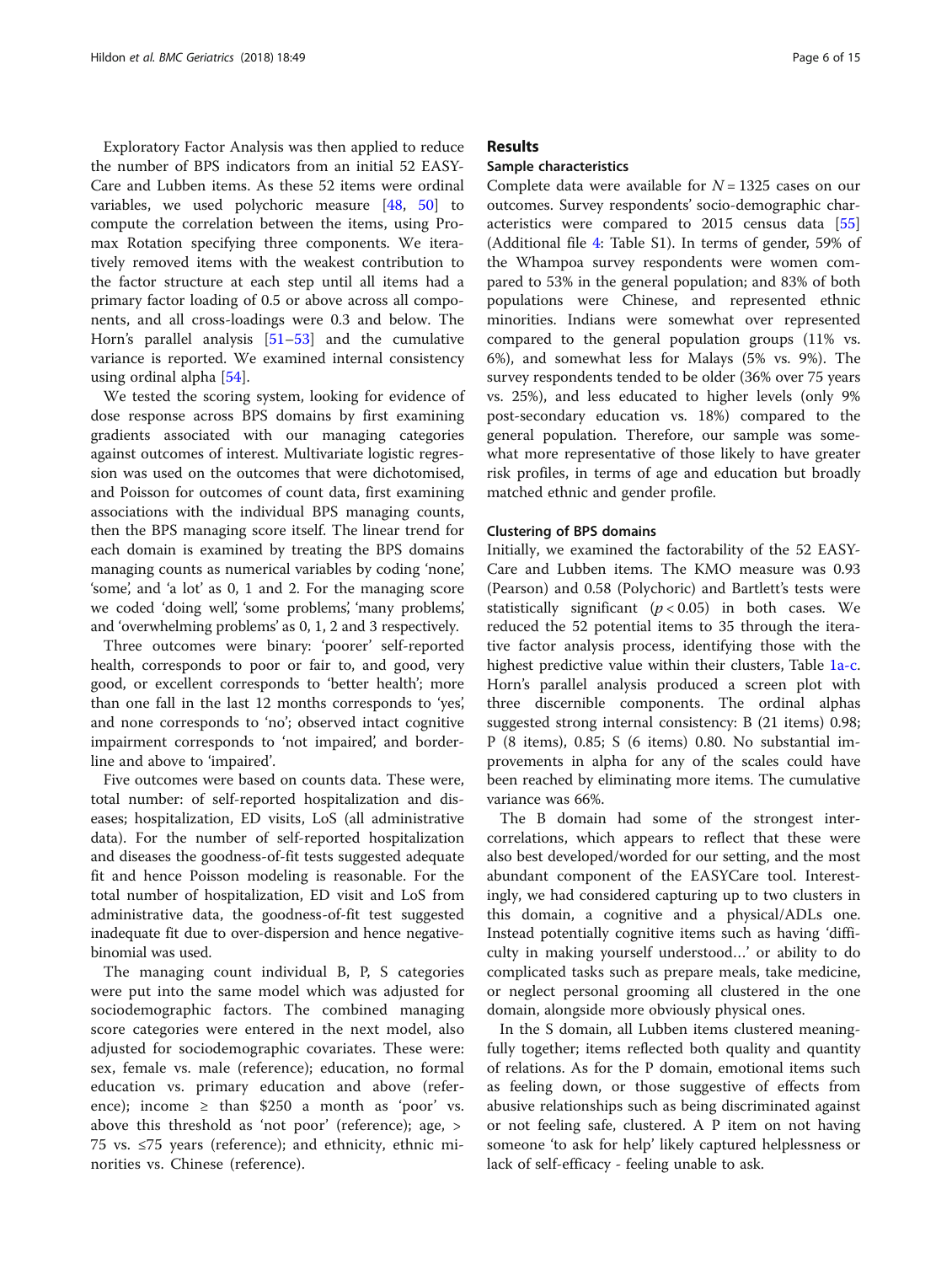Exploratory Factor Analysis was then applied to reduce the number of BPS indicators from an initial 52 EASY-Care and Lubben items. As these 52 items were ordinal variables, we used polychoric measure [\[48](#page-14-0), [50\]](#page-14-0) to compute the correlation between the items, using Promax Rotation specifying three components. We iteratively removed items with the weakest contribution to the factor structure at each step until all items had a primary factor loading of 0.5 or above across all components, and all cross-loadings were 0.3 and below. The Horn's parallel analysis [\[51](#page-14-0)–[53\]](#page-14-0) and the cumulative variance is reported. We examined internal consistency using ordinal alpha [\[54](#page-14-0)].

We tested the scoring system, looking for evidence of dose response across BPS domains by first examining gradients associated with our managing categories against outcomes of interest. Multivariate logistic regression was used on the outcomes that were dichotomised, and Poisson for outcomes of count data, first examining associations with the individual BPS managing counts, then the BPS managing score itself. The linear trend for each domain is examined by treating the BPS domains managing counts as numerical variables by coding 'none', 'some', and 'a lot' as 0, 1 and 2. For the managing score we coded 'doing well', 'some problems', 'many problems', and 'overwhelming problems' as 0, 1, 2 and 3 respectively.

Three outcomes were binary: 'poorer' self-reported health, corresponds to poor or fair to, and good, very good, or excellent corresponds to 'better health'; more than one fall in the last 12 months corresponds to 'yes', and none corresponds to 'no'; observed intact cognitive impairment corresponds to 'not impaired', and borderline and above to 'impaired'.

Five outcomes were based on counts data. These were, total number: of self-reported hospitalization and diseases; hospitalization, ED visits, LoS (all administrative data). For the number of self-reported hospitalization and diseases the goodness-of-fit tests suggested adequate fit and hence Poisson modeling is reasonable. For the total number of hospitalization, ED visit and LoS from administrative data, the goodness-of-fit test suggested inadequate fit due to over-dispersion and hence negativebinomial was used.

The managing count individual B, P, S categories were put into the same model which was adjusted for sociodemographic factors. The combined managing score categories were entered in the next model, also adjusted for sociodemographic covariates. These were: sex, female vs. male (reference); education, no formal education vs. primary education and above (reference); income  $\ge$  than \$250 a month as 'poor' vs. above this threshold as 'not poor' (reference); age, > 75 vs. ≤75 years (reference); and ethnicity, ethnic minorities vs. Chinese (reference).

# Results

# Sample characteristics

Complete data were available for  $N = 1325$  cases on our outcomes. Survey respondents' socio-demographic characteristics were compared to 2015 census data [[55](#page-14-0)] (Additional file [4:](#page-12-0) Table S1). In terms of gender, 59% of the Whampoa survey respondents were women compared to 53% in the general population; and 83% of both populations were Chinese, and represented ethnic minorities. Indians were somewhat over represented compared to the general population groups (11% vs. 6%), and somewhat less for Malays (5% vs. 9%). The survey respondents tended to be older (36% over 75 years vs. 25%), and less educated to higher levels (only 9% post-secondary education vs. 18%) compared to the general population. Therefore, our sample was somewhat more representative of those likely to have greater risk profiles, in terms of age and education but broadly matched ethnic and gender profile.

# Clustering of BPS domains

Initially, we examined the factorability of the 52 EASY-Care and Lubben items. The KMO measure was 0.93 (Pearson) and 0.58 (Polychoric) and Bartlett's tests were statistically significant  $(p < 0.05)$  in both cases. We reduced the 52 potential items to 35 through the iterative factor analysis process, identifying those with the highest predictive value within their clusters, Table [1a-c](#page-6-0). Horn's parallel analysis produced a screen plot with three discernible components. The ordinal alphas suggested strong internal consistency: B (21 items) 0.98; P (8 items), 0.85; S (6 items) 0.80. No substantial improvements in alpha for any of the scales could have been reached by eliminating more items. The cumulative variance was 66%.

The B domain had some of the strongest intercorrelations, which appears to reflect that these were also best developed/worded for our setting, and the most abundant component of the EASYCare tool. Interestingly, we had considered capturing up to two clusters in this domain, a cognitive and a physical/ADLs one. Instead potentially cognitive items such as having 'difficulty in making yourself understood…' or ability to do complicated tasks such as prepare meals, take medicine, or neglect personal grooming all clustered in the one domain, alongside more obviously physical ones.

In the S domain, all Lubben items clustered meaningfully together; items reflected both quality and quantity of relations. As for the P domain, emotional items such as feeling down, or those suggestive of effects from abusive relationships such as being discriminated against or not feeling safe, clustered. A P item on not having someone 'to ask for help' likely captured helplessness or lack of self-efficacy - feeling unable to ask.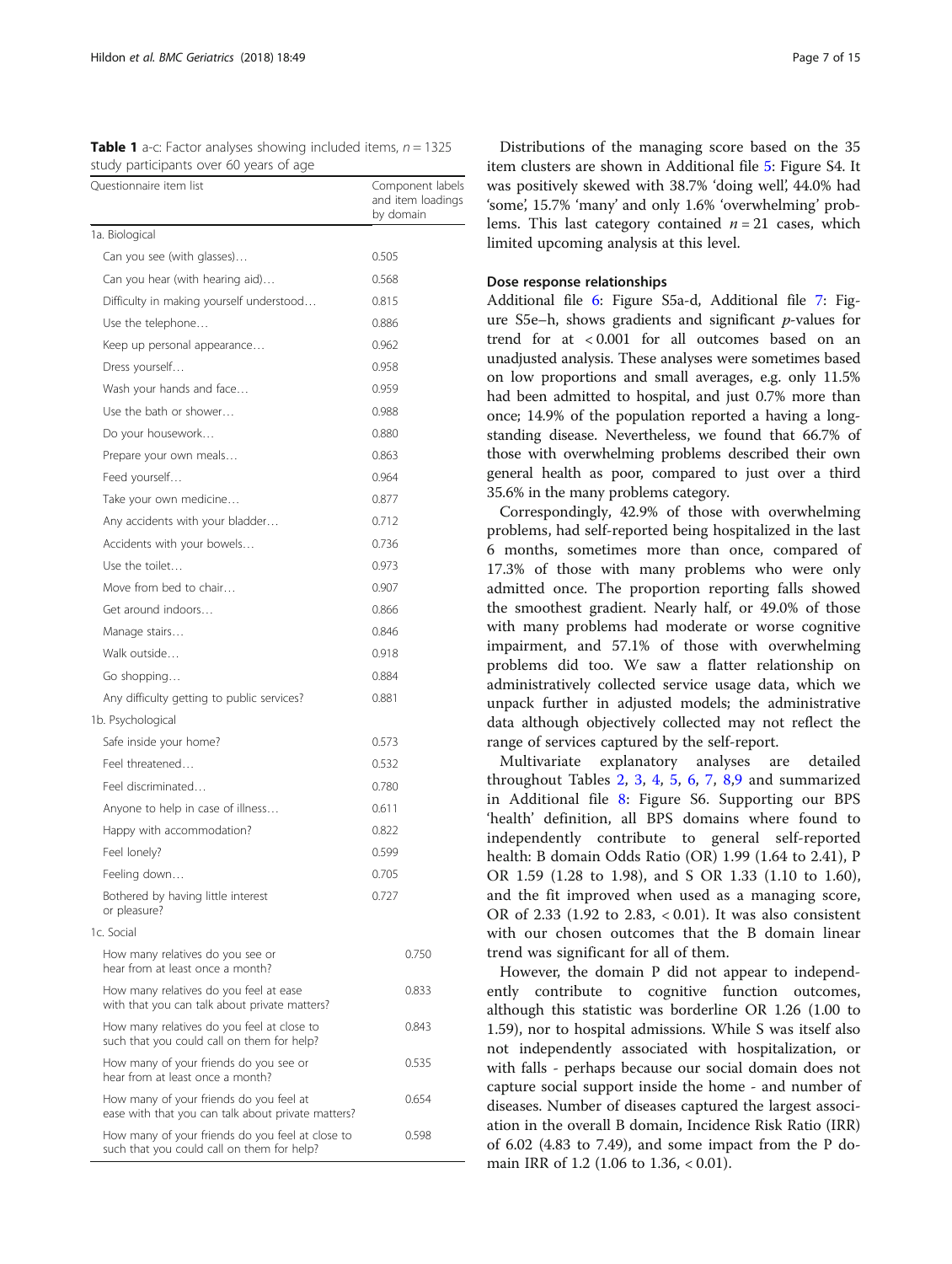<span id="page-6-0"></span>

|  |  |  |                                         | <b>Table 1</b> a-c: Factor analyses showing included items, $n = 1325$ |  |  |
|--|--|--|-----------------------------------------|------------------------------------------------------------------------|--|--|
|  |  |  | study participants over 60 years of age |                                                                        |  |  |

| staay participarits over oo years or age<br>Questionnaire item list                            | Component labels<br>and item loadings |
|------------------------------------------------------------------------------------------------|---------------------------------------|
|                                                                                                | by domain                             |
| 1a. Biological                                                                                 |                                       |
| Can you see (with glasses)                                                                     | 0.505                                 |
| Can you hear (with hearing aid)                                                                | 0.568                                 |
| Difficulty in making yourself understood                                                       | 0.815                                 |
| Use the telephone                                                                              | 0.886                                 |
| Keep up personal appearance                                                                    | 0.962                                 |
| Dress yourself                                                                                 | 0.958                                 |
| Wash your hands and face                                                                       | 0.959                                 |
| Use the bath or shower                                                                         | 0.988                                 |
| Do your housework                                                                              | 0.880                                 |
| Prepare your own meals                                                                         | 0.863                                 |
| Feed yourself                                                                                  | 0.964                                 |
| Take your own medicine                                                                         | 0.877                                 |
| Any accidents with your bladder                                                                | 0.712                                 |
| Accidents with your bowels                                                                     | 0.736                                 |
| Use the toilet                                                                                 | 0.973                                 |
| Move from bed to chair                                                                         | 0.907                                 |
| Get around indoors                                                                             | 0.866                                 |
| Manage stairs                                                                                  | 0.846                                 |
| Walk outside                                                                                   | 0.918                                 |
| Go shopping                                                                                    | 0.884                                 |
| Any difficulty getting to public services?                                                     | 0.881                                 |
| 1b. Psychological                                                                              |                                       |
| Safe inside your home?                                                                         | 0.573                                 |
| Feel threatened                                                                                | 0.532                                 |
| Feel discriminated                                                                             | 0.780                                 |
| Anyone to help in case of illness                                                              | 0.611                                 |
| Happy with accommodation?                                                                      | 0.822                                 |
| Feel lonely?                                                                                   | 0.599                                 |
| Feeling down                                                                                   | 0.705                                 |
| Bothered by having little interest<br>or pleasure?                                             | 0.727                                 |
| 1c. Social                                                                                     |                                       |
| How many relatives do you see or<br>hear from at least once a month?                           | 0.750                                 |
| How many relatives do you feel at ease<br>with that you can talk about private matters?        | 0.833                                 |
| How many relatives do you feel at close to<br>such that you could call on them for help?       | 0.843                                 |
| How many of your friends do you see or<br>hear from at least once a month?                     | 0.535                                 |
| How many of your friends do you feel at<br>ease with that you can talk about private matters?  | 0.654                                 |
| How many of your friends do you feel at close to<br>such that you could call on them for help? | 0.598                                 |

Distributions of the managing score based on the 35 item clusters are shown in Additional file [5:](#page-12-0) Figure S4. It was positively skewed with 38.7% 'doing well', 44.0% had 'some', 15.7% 'many' and only 1.6% 'overwhelming' problems. This last category contained  $n = 21$  cases, which limited upcoming analysis at this level.

# Dose response relationships

Additional file [6](#page-12-0): Figure S5a-d, Additional file [7](#page-12-0): Figure S5e–h, shows gradients and significant  $p$ -values for trend for at < 0.001 for all outcomes based on an unadjusted analysis. These analyses were sometimes based on low proportions and small averages, e.g. only 11.5% had been admitted to hospital, and just 0.7% more than once; 14.9% of the population reported a having a longstanding disease. Nevertheless, we found that 66.7% of those with overwhelming problems described their own general health as poor, compared to just over a third 35.6% in the many problems category.

Correspondingly, 42.9% of those with overwhelming problems, had self-reported being hospitalized in the last 6 months, sometimes more than once, compared of 17.3% of those with many problems who were only admitted once. The proportion reporting falls showed the smoothest gradient. Nearly half, or 49.0% of those with many problems had moderate or worse cognitive impairment, and 57.1% of those with overwhelming problems did too. We saw a flatter relationship on administratively collected service usage data, which we unpack further in adjusted models; the administrative data although objectively collected may not reflect the range of services captured by the self-report.

Multivariate explanatory analyses are detailed throughout Tables [2,](#page-7-0) [3](#page-7-0), [4](#page-8-0), [5](#page-8-0), [6](#page-9-0), [7](#page-9-0), [8,9](#page-10-0) and summarized in Additional file [8:](#page-12-0) Figure S6. Supporting our BPS 'health' definition, all BPS domains where found to independently contribute to general self-reported health: B domain Odds Ratio (OR) 1.99 (1.64 to 2.41), P OR 1.59 (1.28 to 1.98), and S OR 1.33 (1.10 to 1.60), and the fit improved when used as a managing score, OR of 2.33 (1.92 to 2.83, < 0.01). It was also consistent with our chosen outcomes that the B domain linear trend was significant for all of them.

However, the domain P did not appear to independently contribute to cognitive function outcomes, although this statistic was borderline OR 1.26 (1.00 to 1.59), nor to hospital admissions. While S was itself also not independently associated with hospitalization, or with falls - perhaps because our social domain does not capture social support inside the home - and number of diseases. Number of diseases captured the largest association in the overall B domain, Incidence Risk Ratio (IRR) of 6.02 (4.83 to 7.49), and some impact from the P domain IRR of 1.2 (1.06 to 1.36, < 0.01).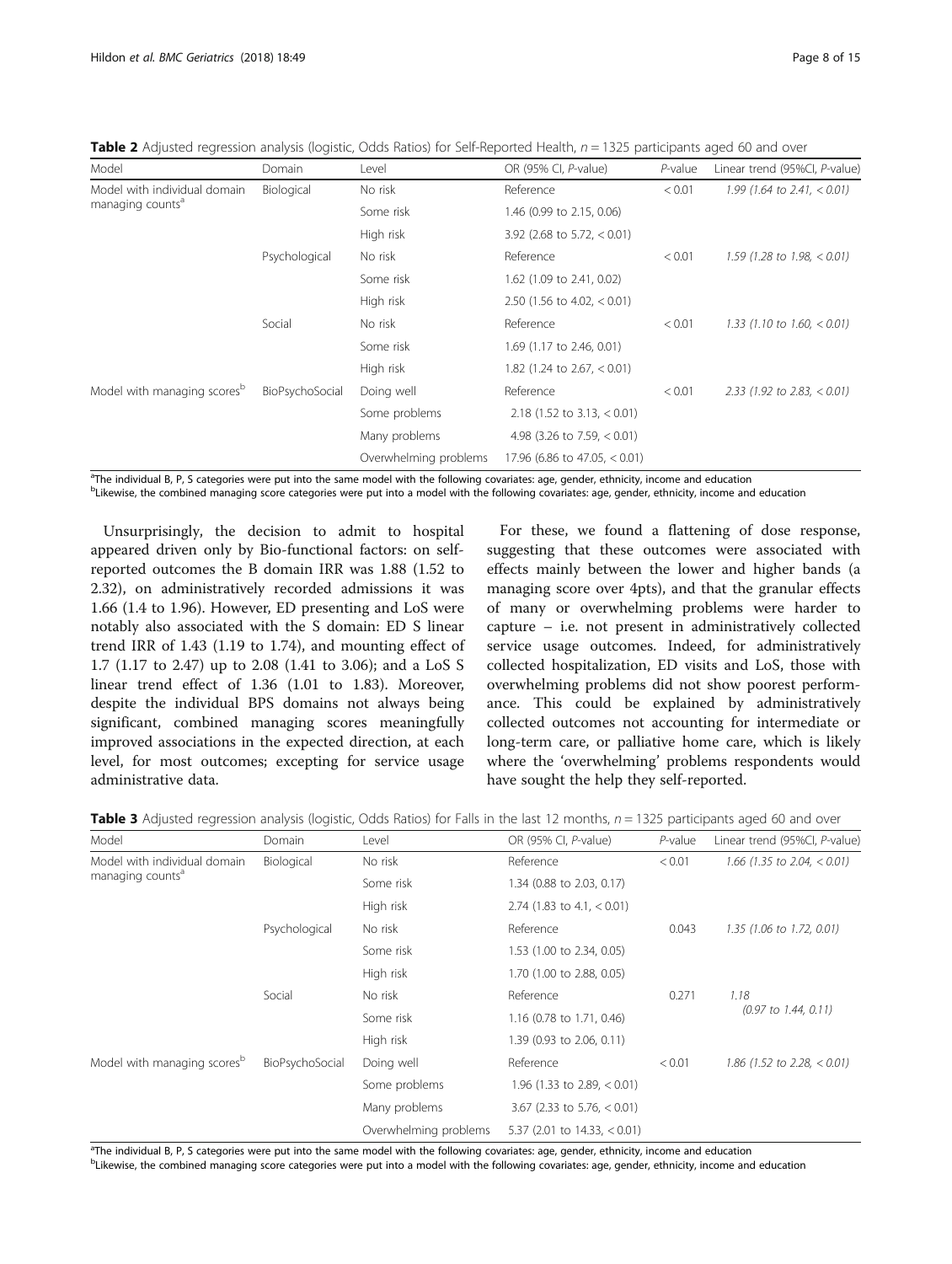<span id="page-7-0"></span>**Table 2** Adjusted regression analysis (logistic, Odds Ratios) for Self-Reported Health,  $n = 1325$  participants aged 60 and over

| Model                                   | Domain          | Level                 | OR (95% CI, P-value)           | $P$ -value | Linear trend (95%CI, P-value)  |
|-----------------------------------------|-----------------|-----------------------|--------------------------------|------------|--------------------------------|
| Model with individual domain            | Biological      | No risk               | Reference                      | < 0.01     | 1.99 (1.64 to 2.41, $< 0.01$ ) |
| managing counts <sup>a</sup>            |                 | Some risk             | 1.46 (0.99 to 2.15, 0.06)      |            |                                |
|                                         |                 | High risk             | 3.92 (2.68 to 5.72, $< 0.01$ ) |            |                                |
|                                         | Psychological   | No risk               | Reference                      | < 0.01     | 1.59 (1.28 to 1.98, $< 0.01$ ) |
|                                         |                 | Some risk             | 1.62 (1.09 to 2.41, 0.02)      |            |                                |
|                                         |                 | High risk             | 2.50 (1.56 to 4.02, $< 0.01$ ) |            |                                |
|                                         | Social          | No risk               | Reference                      | < 0.01     | 1.33 (1.10 to 1.60, $<$ 0.01)  |
|                                         |                 | Some risk             | 1.69 (1.17 to 2.46, 0.01)      |            |                                |
|                                         |                 | High risk             | 1.82 (1.24 to 2.67, $< 0.01$ ) |            |                                |
| Model with managing scores <sup>b</sup> | BioPsychoSocial | Doing well            | Reference                      | < 0.01     | $2.33$ (1.92 to 2.83, < 0.01)  |
|                                         |                 | Some problems         | 2.18 (1.52 to 3.13, $< 0.01$ ) |            |                                |
|                                         |                 | Many problems         | 4.98 (3.26 to 7.59, $< 0.01$ ) |            |                                |
|                                         |                 | Overwhelming problems | 17.96 (6.86 to 47.05, < 0.01)  |            |                                |

<sup>a</sup>The individual B, P, S categories were put into the same model with the following covariates: age, gender, ethnicity, income and education

<sup>b</sup>Likewise, the combined managing score categories were put into a model with the following covariates: age, gender, ethnicity, income and education

Unsurprisingly, the decision to admit to hospital appeared driven only by Bio-functional factors: on selfreported outcomes the B domain IRR was 1.88 (1.52 to 2.32), on administratively recorded admissions it was 1.66 (1.4 to 1.96). However, ED presenting and LoS were notably also associated with the S domain: ED S linear trend IRR of 1.43 (1.19 to 1.74), and mounting effect of 1.7 (1.17 to 2.47) up to 2.08 (1.41 to 3.06); and a LoS S linear trend effect of 1.36 (1.01 to 1.83). Moreover, despite the individual BPS domains not always being significant, combined managing scores meaningfully improved associations in the expected direction, at each level, for most outcomes; excepting for service usage administrative data.

For these, we found a flattening of dose response, suggesting that these outcomes were associated with effects mainly between the lower and higher bands (a managing score over 4pts), and that the granular effects of many or overwhelming problems were harder to capture – i.e. not present in administratively collected service usage outcomes. Indeed, for administratively collected hospitalization, ED visits and LoS, those with overwhelming problems did not show poorest performance. This could be explained by administratively collected outcomes not accounting for intermediate or long-term care, or palliative home care, which is likely where the 'overwhelming' problems respondents would have sought the help they self-reported.

Table 3 Adjusted regression analysis (logistic, Odds Ratios) for Falls in the last 12 months,  $n = 1325$  participants aged 60 and over

| Model                                   | Domain          | Level                 | OR (95% CI, P-value)            | $P$ -value | Linear trend (95%CI, P-value)   |  |
|-----------------------------------------|-----------------|-----------------------|---------------------------------|------------|---------------------------------|--|
| Model with individual domain            | Biological      | No risk               | Reference                       | < 0.01     | 1.66 (1.35 to 2.04, $< 0.01$ )  |  |
| managing counts <sup>a</sup>            |                 | Some risk             | 1.34 (0.88 to 2.03, 0.17)       |            |                                 |  |
|                                         |                 | High risk             | 2.74 (1.83 to 4.1, $< 0.01$ )   |            |                                 |  |
|                                         | Psychological   | No risk               | Reference                       | 0.043      | 1.35 (1.06 to 1.72, 0.01)       |  |
|                                         |                 | Some risk             | 1.53 (1.00 to 2.34, 0.05)       |            |                                 |  |
|                                         |                 | High risk             | 1.70 (1.00 to 2.88, 0.05)       |            |                                 |  |
|                                         | Social          | No risk               | Reference                       | 0.271      | 1.18                            |  |
|                                         |                 | Some risk             | 1.16 (0.78 to 1.71, 0.46)       |            | $(0.97 \text{ to } 1.44, 0.11)$ |  |
|                                         |                 | High risk             | 1.39 (0.93 to 2.06, 0.11)       |            |                                 |  |
| Model with managing scores <sup>b</sup> | BioPsychoSocial | Doing well            | Reference                       | < 0.01     | 1.86 (1.52 to 2.28, $< 0.01$ )  |  |
|                                         |                 | Some problems         | 1.96 (1.33 to 2.89, $< 0.01$ )  |            |                                 |  |
|                                         |                 | Many problems         | 3.67 (2.33 to 5.76, $< 0.01$ )  |            |                                 |  |
|                                         |                 | Overwhelming problems | 5.37 (2.01 to 14.33, $< 0.01$ ) |            |                                 |  |

<sup>a</sup>The individual B, P, S categories were put into the same model with the following covariates: age, gender, ethnicity, income and education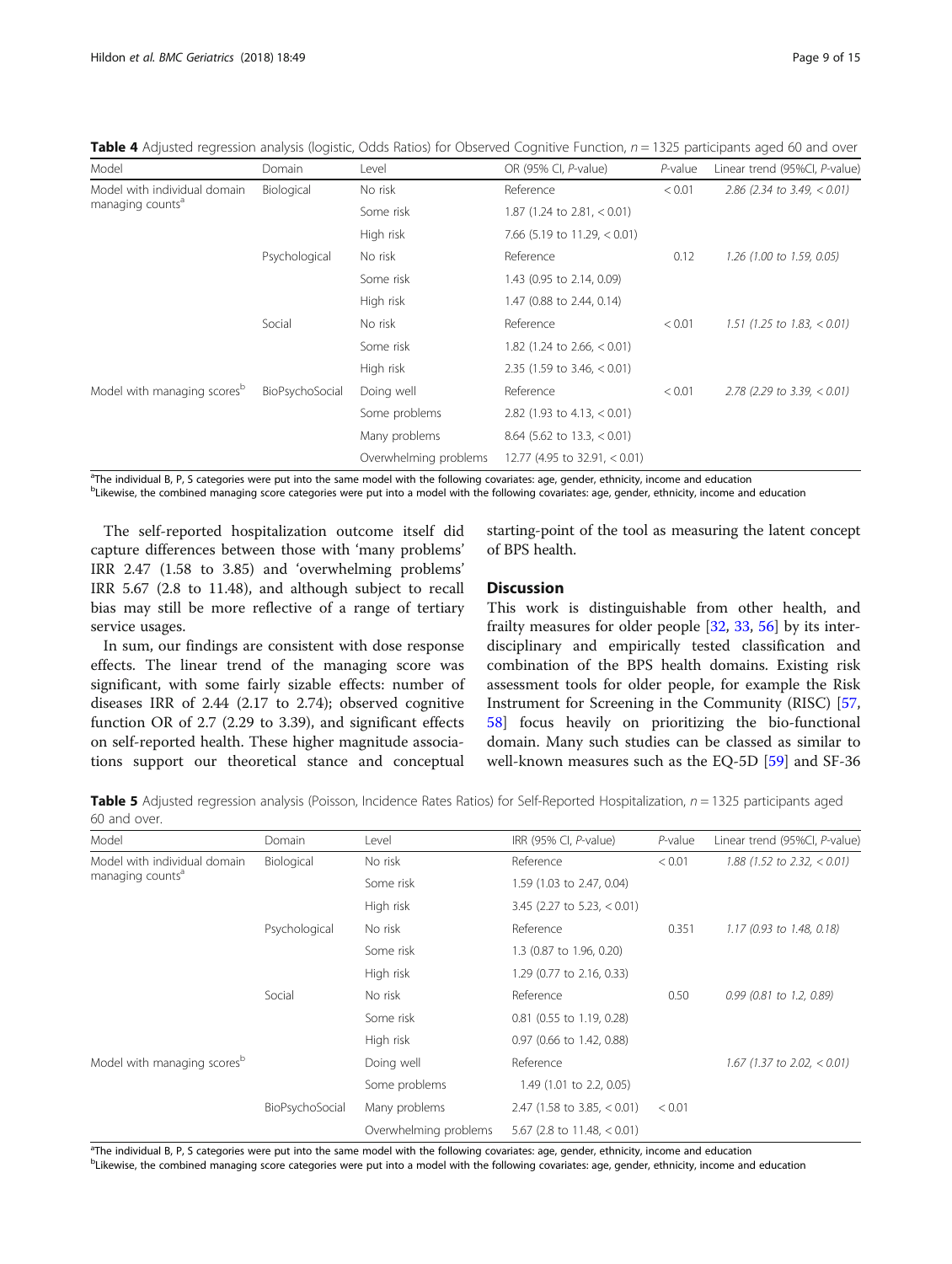|  | гаус эк |  |
|--|---------|--|
|  |         |  |

| Model                                   | Domain          | Level                 | OR (95% CI, P-value)             | $P$ -value | Linear trend (95%CI, P-value)  |
|-----------------------------------------|-----------------|-----------------------|----------------------------------|------------|--------------------------------|
| Model with individual domain            | Biological      | No risk               | Reference                        | < 0.01     | $2.86$ (2.34 to 3.49, < 0.01)  |
| managing counts <sup>d</sup>            |                 | Some risk             | 1.87 (1.24 to 2.81, $< 0.01$ )   |            |                                |
|                                         |                 | High risk             | 7.66 (5.19 to 11.29, $< 0.01$ )  |            |                                |
|                                         | Psychological   | No risk               | Reference                        | 0.12       | 1.26 (1.00 to 1.59, 0.05)      |
|                                         |                 | Some risk             | 1.43 (0.95 to 2.14, 0.09)        |            |                                |
|                                         |                 | High risk             | 1.47 (0.88 to 2.44, 0.14)        |            |                                |
|                                         | Social          | No risk               | Reference                        | < 0.01     | 1.51 (1.25 to 1.83, $< 0.01$ ) |
|                                         |                 | Some risk             | 1.82 (1.24 to 2.66, $< 0.01$ )   |            |                                |
|                                         |                 | High risk             | 2.35 (1.59 to 3.46, $< 0.01$ )   |            |                                |
| Model with managing scores <sup>b</sup> | BioPsychoSocial | Doing well            | Reference                        | < 0.01     | 2.78 (2.29 to 3.39, $< 0.01$ ) |
|                                         |                 | Some problems         | 2.82 (1.93 to 4.13, $< 0.01$ )   |            |                                |
|                                         |                 | Many problems         | $8.64$ (5.62 to 13.3, < 0.01)    |            |                                |
|                                         |                 | Overwhelming problems | 12.77 (4.95 to 32.91, $< 0.01$ ) |            |                                |

<span id="page-8-0"></span>Table 4 Adjusted regression analysis (logistic, Odds Ratios) for Observed Cognitive Function,  $n = 1325$  participants aged 60 and over

<sup>a</sup>The individual B, P, S categories were put into the same model with the following covariates: age, gender, ethnicity, income and education

<sup>b</sup>Likewise, the combined managing score categories were put into a model with the following covariates: age, gender, ethnicity, income and education

The self-reported hospitalization outcome itself did capture differences between those with 'many problems' IRR 2.47 (1.58 to 3.85) and 'overwhelming problems' IRR 5.67 (2.8 to 11.48), and although subject to recall bias may still be more reflective of a range of tertiary service usages.

In sum, our findings are consistent with dose response effects. The linear trend of the managing score was significant, with some fairly sizable effects: number of diseases IRR of 2.44 (2.17 to 2.74); observed cognitive function OR of 2.7 (2.29 to 3.39), and significant effects on self-reported health. These higher magnitude associations support our theoretical stance and conceptual

starting-point of the tool as measuring the latent concept of BPS health.

# Discussion

This work is distinguishable from other health, and frailty measures for older people [[32](#page-13-0), [33](#page-13-0), [56](#page-14-0)] by its interdisciplinary and empirically tested classification and combination of the BPS health domains. Existing risk assessment tools for older people, for example the Risk Instrument for Screening in the Community (RISC) [[57](#page-14-0), [58\]](#page-14-0) focus heavily on prioritizing the bio-functional domain. Many such studies can be classed as similar to well-known measures such as the EQ-5D [[59\]](#page-14-0) and SF-36

Table 5 Adjusted regression analysis (Poisson, Incidence Rates Ratios) for Self-Reported Hospitalization, n = 1325 participants aged 60 and over.

| Model                                   | Domain          | Level                 | IRR (95% CI, P-value)          | $P$ -value | Linear trend (95%CI, P-value)  |
|-----------------------------------------|-----------------|-----------------------|--------------------------------|------------|--------------------------------|
| Model with individual domain            | Biological      | No risk               | Reference                      | < 0.01     | 1.88 (1.52 to 2.32, $< 0.01$ ) |
| managing counts <sup>a</sup>            |                 | Some risk             | 1.59 (1.03 to 2.47, 0.04)      |            |                                |
|                                         |                 | High risk             | 3.45 (2.27 to 5.23, $< 0.01$ ) |            |                                |
|                                         | Psychological   | No risk               | Reference                      | 0.351      | 1.17 (0.93 to 1.48, 0.18)      |
|                                         |                 | Some risk             | 1.3 (0.87 to 1.96, 0.20)       |            |                                |
|                                         |                 | High risk             | 1.29 (0.77 to 2.16, 0.33)      |            |                                |
|                                         | Social          | No risk               | Reference                      | 0.50       | $0.99$ (0.81 to 1.2, 0.89)     |
|                                         |                 | Some risk             | 0.81 (0.55 to 1.19, 0.28)      |            |                                |
|                                         |                 | High risk             | 0.97 (0.66 to 1.42, 0.88)      |            |                                |
| Model with managing scores <sup>b</sup> |                 | Doing well            | Reference                      |            |                                |
|                                         |                 | Some problems         | 1.49 (1.01 to 2.2, 0.05)       |            |                                |
|                                         | BioPsychoSocial | Many problems         | $2.47$ (1.58 to 3.85, < 0.01)  | < 0.01     |                                |
|                                         |                 | Overwhelming problems | 5.67 (2.8 to 11.48, $< 0.01$ ) |            |                                |

<sup>a</sup>The individual B, P, S categories were put into the same model with the following covariates: age, gender, ethnicity, income and education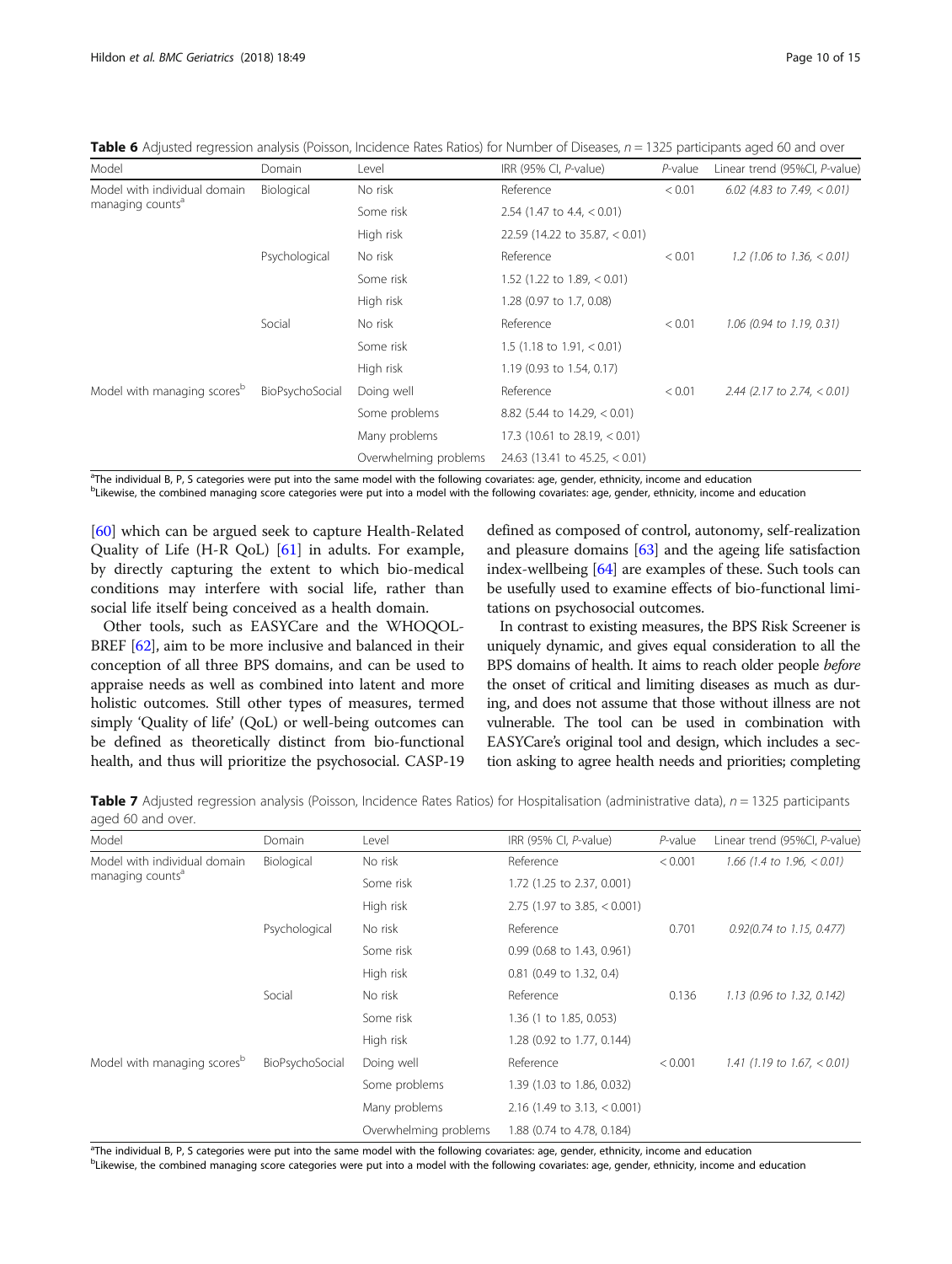| Model                                   | Domain          | Level                 | IRR (95% CI, P-value)           | $P$ -value | Linear trend (95%CI, P-value)  |
|-----------------------------------------|-----------------|-----------------------|---------------------------------|------------|--------------------------------|
| Model with individual domain            | Biological      | No risk               | Reference                       | < 0.01     | 6.02 (4.83 to 7.49, $< 0.01$ ) |
| managing counts <sup>a</sup>            |                 | Some risk             | 2.54 (1.47 to 4.4, $< 0.01$ )   |            |                                |
|                                         |                 | High risk             | 22.59 (14.22 to 35.87, < 0.01)  |            |                                |
|                                         | Psychological   | No risk               | Reference                       | < 0.01     | 1.2 (1.06 to 1.36, $< 0.01$ )  |
|                                         |                 | Some risk             | 1.52 (1.22 to 1.89, $< 0.01$ )  |            |                                |
|                                         |                 | High risk             | 1.28 (0.97 to 1.7, 0.08)        |            |                                |
|                                         | Social          | No risk               | Reference                       | < 0.01     | 1.06 (0.94 to 1.19, 0.31)      |
|                                         |                 | Some risk             | 1.5 (1.18 to 1.91, $< 0.01$ )   |            |                                |
|                                         |                 | High risk             | 1.19 (0.93 to 1.54, 0.17)       |            |                                |
| Model with managing scores <sup>b</sup> | BioPsychoSocial | Doing well            | Reference                       | < 0.01     | 2.44 (2.17 to 2.74, $< 0.01$ ) |
|                                         |                 | Some problems         | 8.82 (5.44 to 14.29, $< 0.01$ ) |            |                                |
|                                         |                 | Many problems         | 17.3 (10.61 to 28.19, < 0.01)   |            |                                |
|                                         |                 | Overwhelming problems | 24.63 (13.41 to 45.25, < 0.01)  |            |                                |

<span id="page-9-0"></span>Table 6 Adjusted regression analysis (Poisson, Incidence Rates Ratios) for Number of Diseases,  $n = 1325$  participants aged 60 and over

<sup>a</sup>The individual B, P, S categories were put into the same model with the following covariates: age, gender, ethnicity, income and education

<sup>b</sup>Likewise, the combined managing score categories were put into a model with the following covariates: age, gender, ethnicity, income and education

[[60\]](#page-14-0) which can be argued seek to capture Health-Related Quality of Life (H-R QoL) [\[61\]](#page-14-0) in adults. For example, by directly capturing the extent to which bio-medical conditions may interfere with social life, rather than social life itself being conceived as a health domain.

Other tools, such as EASYCare and the WHOQOL-BREF [[62\]](#page-14-0), aim to be more inclusive and balanced in their conception of all three BPS domains, and can be used to appraise needs as well as combined into latent and more holistic outcomes. Still other types of measures, termed simply 'Quality of life' (QoL) or well-being outcomes can be defined as theoretically distinct from bio-functional health, and thus will prioritize the psychosocial. CASP-19 defined as composed of control, autonomy, self-realization and pleasure domains [[63](#page-14-0)] and the ageing life satisfaction index-wellbeing [[64](#page-14-0)] are examples of these. Such tools can be usefully used to examine effects of bio-functional limitations on psychosocial outcomes.

In contrast to existing measures, the BPS Risk Screener is uniquely dynamic, and gives equal consideration to all the BPS domains of health. It aims to reach older people before the onset of critical and limiting diseases as much as during, and does not assume that those without illness are not vulnerable. The tool can be used in combination with EASYCare's original tool and design, which includes a section asking to agree health needs and priorities; completing

Table 7 Adjusted regression analysis (Poisson, Incidence Rates Ratios) for Hospitalisation (administrative data),  $n = 1325$  participants aged 60 and over.

| Model                                   | Domain          | Level                 | IRR (95% CI, P-value)           | $P$ -value | Linear trend (95%CI, P-value)  |
|-----------------------------------------|-----------------|-----------------------|---------------------------------|------------|--------------------------------|
| Model with individual domain            | Biological      | No risk               | Reference                       | < 0.001    | 1.66 (1.4 to 1.96, $< 0.01$ )  |
| managing counts <sup>a</sup>            |                 | Some risk             | 1.72 (1.25 to 2.37, 0.001)      |            |                                |
|                                         |                 | High risk             | $2.75$ (1.97 to 3.85, < 0.001)  |            |                                |
|                                         | Psychological   | No risk               | Reference                       | 0.701      | 0.92(0.74 to 1.15, 0.477)      |
|                                         |                 | Some risk             | 0.99 (0.68 to 1.43, 0.961)      |            |                                |
|                                         |                 | High risk             | 0.81 (0.49 to 1.32, 0.4)        |            |                                |
|                                         | Social          | No risk               | Reference                       | 0.136      | 1.13 (0.96 to 1.32, 0.142)     |
|                                         |                 | Some risk             | 1.36 (1 to 1.85, 0.053)         |            |                                |
|                                         |                 | High risk             | 1.28 (0.92 to 1.77, 0.144)      |            |                                |
| Model with managing scores <sup>b</sup> | BioPsychoSocial | Doing well            | Reference                       | < 0.001    | 1.41 (1.19 to 1.67, $< 0.01$ ) |
|                                         |                 | Some problems         | 1.39 (1.03 to 1.86, 0.032)      |            |                                |
|                                         |                 | Many problems         | 2.16 (1.49 to 3.13, $< 0.001$ ) |            |                                |
|                                         |                 | Overwhelming problems | 1.88 (0.74 to 4.78, 0.184)      |            |                                |

<sup>a</sup>The individual B, P, S categories were put into the same model with the following covariates: age, gender, ethnicity, income and education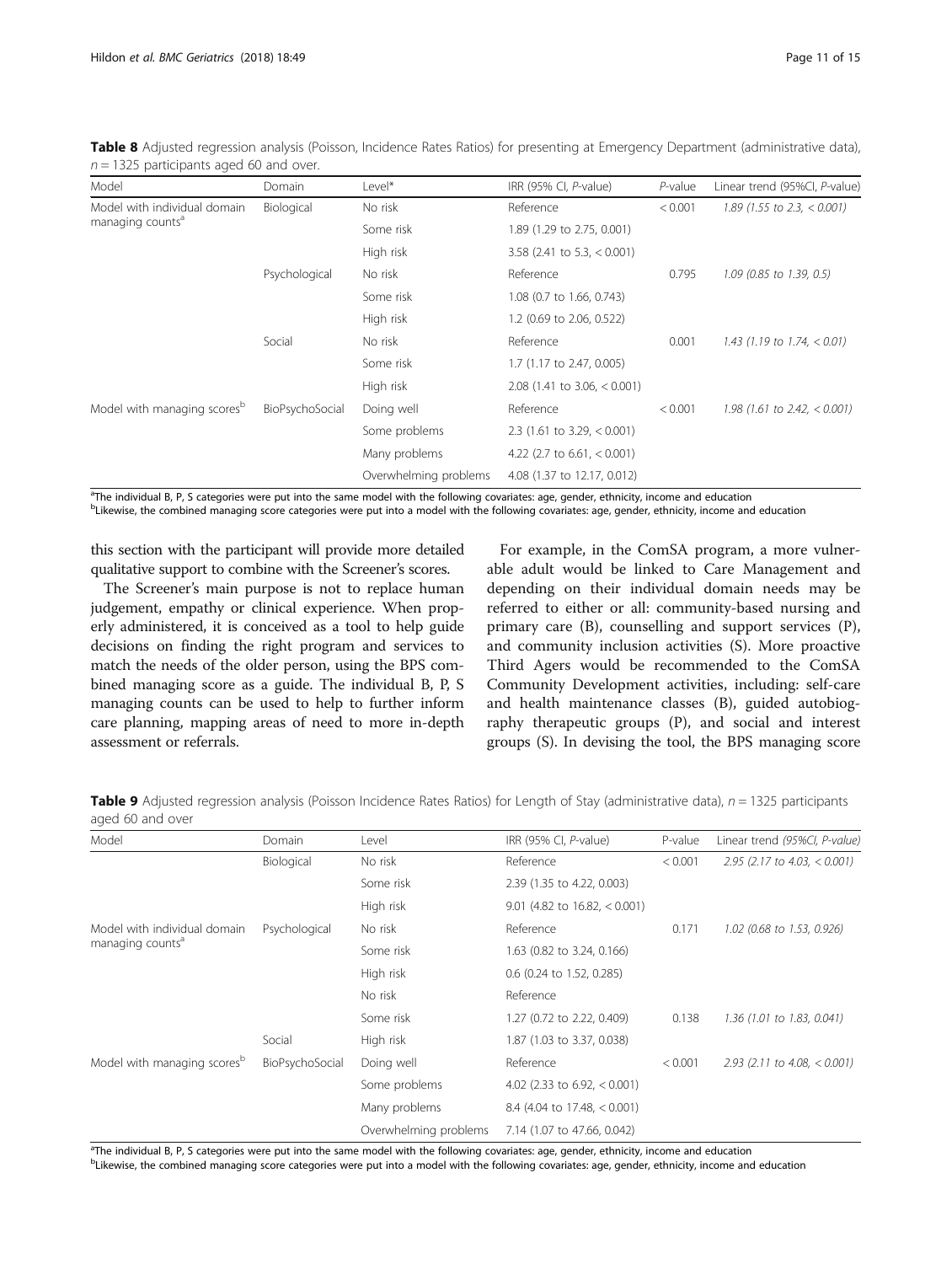<span id="page-10-0"></span>Table 8 Adjusted regression analysis (Poisson, Incidence Rates Ratios) for presenting at Emergency Department (administrative data),  $n = 1325$  participants aged 60 and over.

| Model                                   | Domain          | Level*                | IRR (95% CI, $P$ -value)       | $P$ -value | Linear trend (95%CI, P-value)   |
|-----------------------------------------|-----------------|-----------------------|--------------------------------|------------|---------------------------------|
| Model with individual domain            | Biological      | No risk               | Reference                      | < 0.001    | 1.89 (1.55 to 2.3, $< 0.001$ )  |
| managing counts <sup>a</sup>            |                 | Some risk             | 1.89 (1.29 to 2.75, 0.001)     |            |                                 |
|                                         |                 | High risk             | $3.58$ (2.41 to 5.3, < 0.001)  |            |                                 |
|                                         | Psychological   | No risk               | Reference                      | 0.795      | 1.09 (0.85 to 1.39, 0.5)        |
|                                         |                 | Some risk             | 1.08 (0.7 to 1.66, 0.743)      |            |                                 |
|                                         |                 | High risk             | 1.2 (0.69 to 2.06, 0.522)      |            |                                 |
|                                         | Social          | No risk               | Reference                      | 0.001      | 1.43 (1.19 to 1.74, $< 0.01$ )  |
|                                         |                 | Some risk             | 1.7 (1.17 to 2.47, 0.005)      |            |                                 |
|                                         |                 | High risk             | $2.08$ (1.41 to 3.06, < 0.001) |            |                                 |
| Model with managing scores <sup>b</sup> | BioPsychoSocial | Doing well            | Reference                      | < 0.001    | 1.98 (1.61 to 2.42, $< 0.001$ ) |
|                                         |                 | Some problems         | 2.3 (1.61 to 3.29, $< 0.001$ ) |            |                                 |
|                                         |                 | Many problems         | 4.22 (2.7 to $6.61 < 0.001$ )  |            |                                 |
|                                         |                 | Overwhelming problems | 4.08 (1.37 to 12.17, 0.012)    |            |                                 |

a<br>The individual B, P, S categories were put into the same model with the following covariates: age, gender, ethnicity, income and education

b<br>Likewise, the combined managing score categories were put into a model with the following covariates: age, gender, ethnicity, income and education

this section with the participant will provide more detailed qualitative support to combine with the Screener's scores.

The Screener's main purpose is not to replace human judgement, empathy or clinical experience. When properly administered, it is conceived as a tool to help guide decisions on finding the right program and services to match the needs of the older person, using the BPS combined managing score as a guide. The individual B, P, S managing counts can be used to help to further inform care planning, mapping areas of need to more in-depth assessment or referrals.

For example, in the ComSA program, a more vulnerable adult would be linked to Care Management and depending on their individual domain needs may be referred to either or all: community-based nursing and primary care (B), counselling and support services (P), and community inclusion activities (S). More proactive Third Agers would be recommended to the ComSA Community Development activities, including: self-care and health maintenance classes (B), guided autobiography therapeutic groups (P), and social and interest groups (S). In devising the tool, the BPS managing score

Table 9 Adjusted regression analysis (Poisson Incidence Rates Ratios) for Length of Stay (administrative data),  $n = 1325$  participants aged 60 and over

| Model                                   | Domain          | Level                 | IRR (95% CI, $P$ -value)         | P-value | Linear trend (95%Cl, P-value,  |
|-----------------------------------------|-----------------|-----------------------|----------------------------------|---------|--------------------------------|
|                                         | Biological      | No risk               | Reference                        | < 0.001 | $2.95$ (2.17 to 4.03, < 0.001) |
|                                         |                 | Some risk             | 2.39 (1.35 to 4.22, 0.003)       |         |                                |
|                                         |                 | High risk             | 9.01 (4.82 to 16.82, $< 0.001$ ) |         |                                |
| Model with individual domain            | Psychological   | No risk               | Reference                        | 0.171   | 1.02 (0.68 to 1.53, 0.926)     |
| managing counts <sup>a</sup>            |                 | Some risk             | 1.63 (0.82 to 3.24, 0.166)       |         |                                |
|                                         |                 | High risk             | 0.6 (0.24 to 1.52, 0.285)        |         |                                |
|                                         |                 | No risk               | Reference                        |         |                                |
|                                         |                 | Some risk             | 1.27 (0.72 to 2.22, 0.409)       | 0.138   | 1.36 (1.01 to 1.83, 0.041)     |
|                                         | Social          | High risk             | 1.87 (1.03 to 3.37, 0.038)       |         |                                |
| Model with managing scores <sup>b</sup> | BioPsychoSocial | Doing well            | Reference                        | < 0.001 | $2.93$ (2.11 to 4.08, < 0.001) |
|                                         |                 | Some problems         | 4.02 (2.33 to 6.92, $< 0.001$ )  |         |                                |
|                                         |                 | Many problems         | 8.4 (4.04 to 17.48, < 0.001)     |         |                                |
|                                         |                 | Overwhelming problems | 7.14 (1.07 to 47.66, 0.042)      |         |                                |

<sup>a</sup>The individual B, P, S categories were put into the same model with the following covariates: age, gender, ethnicity, income and education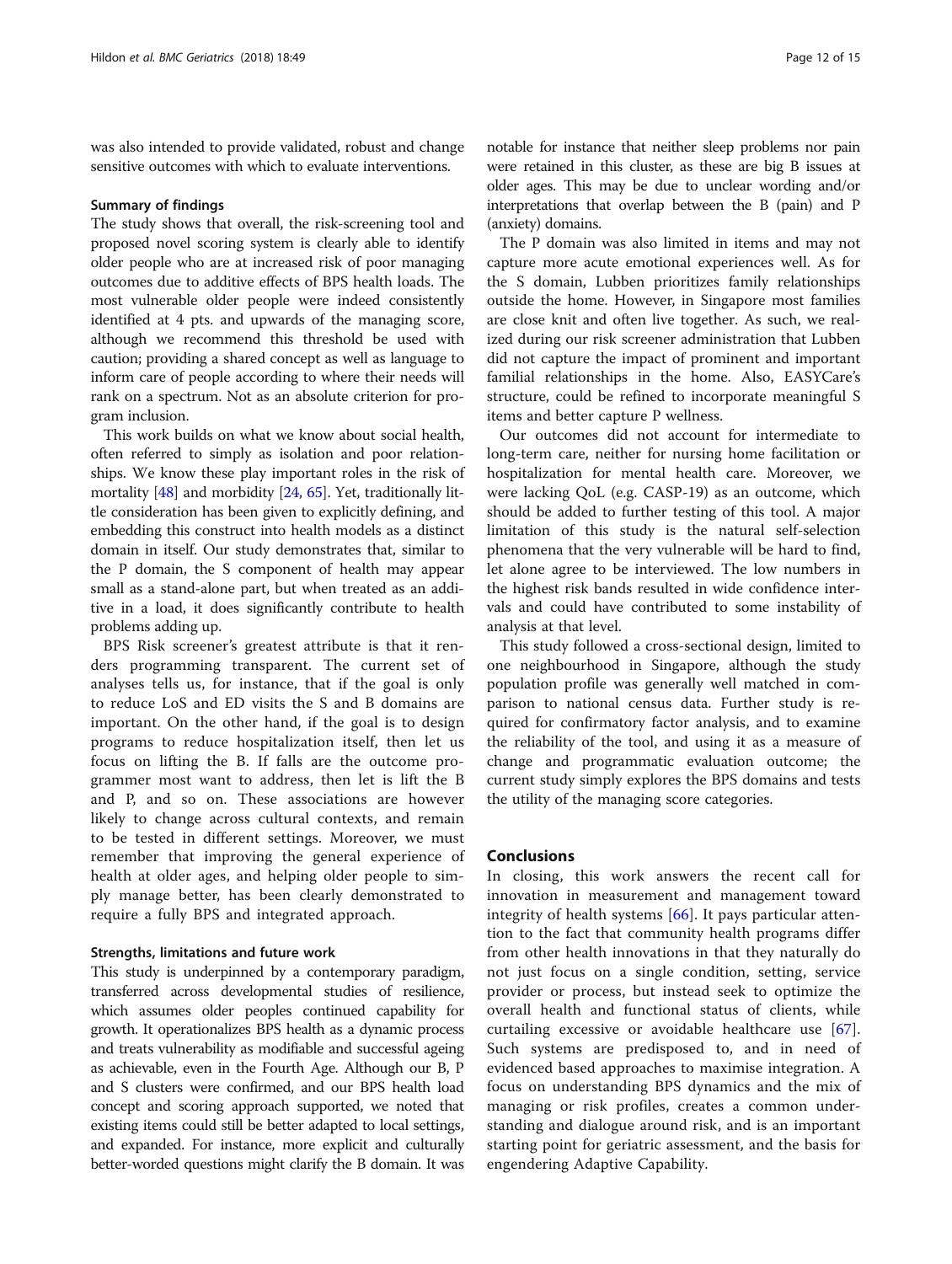was also intended to provide validated, robust and change sensitive outcomes with which to evaluate interventions.

# Summary of findings

The study shows that overall, the risk-screening tool and proposed novel scoring system is clearly able to identify older people who are at increased risk of poor managing outcomes due to additive effects of BPS health loads. The most vulnerable older people were indeed consistently identified at 4 pts. and upwards of the managing score, although we recommend this threshold be used with caution; providing a shared concept as well as language to inform care of people according to where their needs will rank on a spectrum. Not as an absolute criterion for program inclusion.

This work builds on what we know about social health, often referred to simply as isolation and poor relationships. We know these play important roles in the risk of mortality [\[48\]](#page-14-0) and morbidity [[24](#page-13-0), [65\]](#page-14-0). Yet, traditionally little consideration has been given to explicitly defining, and embedding this construct into health models as a distinct domain in itself. Our study demonstrates that, similar to the P domain, the S component of health may appear small as a stand-alone part, but when treated as an additive in a load, it does significantly contribute to health problems adding up.

BPS Risk screener's greatest attribute is that it renders programming transparent. The current set of analyses tells us, for instance, that if the goal is only to reduce LoS and ED visits the S and B domains are important. On the other hand, if the goal is to design programs to reduce hospitalization itself, then let us focus on lifting the B. If falls are the outcome programmer most want to address, then let is lift the B and P, and so on. These associations are however likely to change across cultural contexts, and remain to be tested in different settings. Moreover, we must remember that improving the general experience of health at older ages, and helping older people to simply manage better, has been clearly demonstrated to require a fully BPS and integrated approach.

## Strengths, limitations and future work

This study is underpinned by a contemporary paradigm, transferred across developmental studies of resilience, which assumes older peoples continued capability for growth. It operationalizes BPS health as a dynamic process and treats vulnerability as modifiable and successful ageing as achievable, even in the Fourth Age. Although our B, P and S clusters were confirmed, and our BPS health load concept and scoring approach supported, we noted that existing items could still be better adapted to local settings, and expanded. For instance, more explicit and culturally better-worded questions might clarify the B domain. It was

notable for instance that neither sleep problems nor pain were retained in this cluster, as these are big B issues at older ages. This may be due to unclear wording and/or interpretations that overlap between the B (pain) and P (anxiety) domains.

The P domain was also limited in items and may not capture more acute emotional experiences well. As for the S domain, Lubben prioritizes family relationships outside the home. However, in Singapore most families are close knit and often live together. As such, we realized during our risk screener administration that Lubben did not capture the impact of prominent and important familial relationships in the home. Also, EASYCare's structure, could be refined to incorporate meaningful S items and better capture P wellness.

Our outcomes did not account for intermediate to long-term care, neither for nursing home facilitation or hospitalization for mental health care. Moreover, we were lacking QoL (e.g. CASP-19) as an outcome, which should be added to further testing of this tool. A major limitation of this study is the natural self-selection phenomena that the very vulnerable will be hard to find, let alone agree to be interviewed. The low numbers in the highest risk bands resulted in wide confidence intervals and could have contributed to some instability of analysis at that level.

This study followed a cross-sectional design, limited to one neighbourhood in Singapore, although the study population profile was generally well matched in comparison to national census data. Further study is required for confirmatory factor analysis, and to examine the reliability of the tool, and using it as a measure of change and programmatic evaluation outcome; the current study simply explores the BPS domains and tests the utility of the managing score categories.

# Conclusions

In closing, this work answers the recent call for innovation in measurement and management toward integrity of health systems [\[66](#page-14-0)]. It pays particular attention to the fact that community health programs differ from other health innovations in that they naturally do not just focus on a single condition, setting, service provider or process, but instead seek to optimize the overall health and functional status of clients, while curtailing excessive or avoidable healthcare use [\[67](#page-14-0)]. Such systems are predisposed to, and in need of evidenced based approaches to maximise integration. A focus on understanding BPS dynamics and the mix of managing or risk profiles, creates a common understanding and dialogue around risk, and is an important starting point for geriatric assessment, and the basis for engendering Adaptive Capability.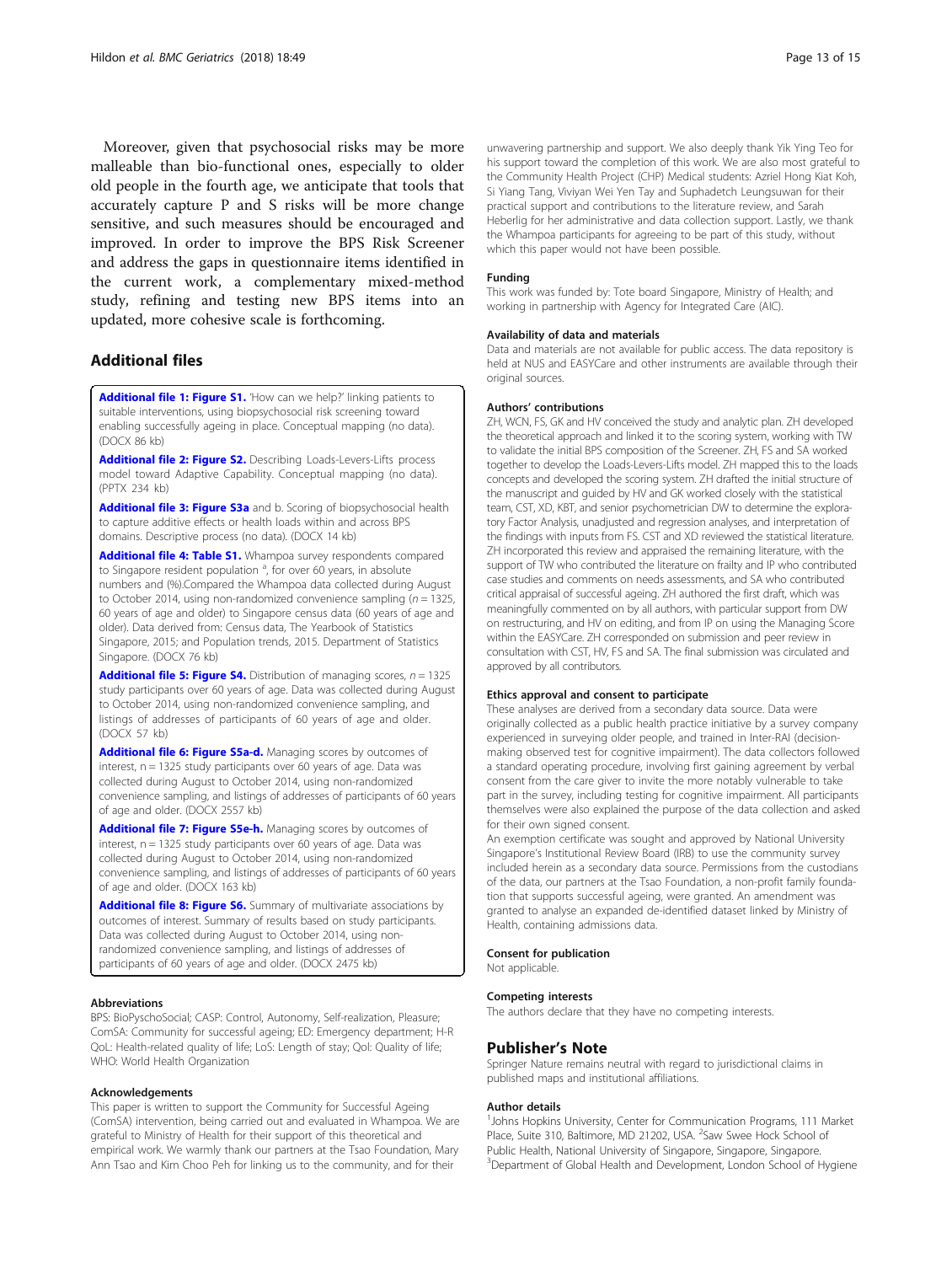<span id="page-12-0"></span>Moreover, given that psychosocial risks may be more malleable than bio-functional ones, especially to older old people in the fourth age, we anticipate that tools that accurately capture P and S risks will be more change sensitive, and such measures should be encouraged and improved. In order to improve the BPS Risk Screener and address the gaps in questionnaire items identified in the current work, a complementary mixed-method study, refining and testing new BPS items into an updated, more cohesive scale is forthcoming.

# Additional files

[Additional file 1: Figure S1.](https://doi.org/10.1186/s12877-018-0739-x) 'How can we help?' linking patients to suitable interventions, using biopsychosocial risk screening toward enabling successfully ageing in place. Conceptual mapping (no data). (DOCX 86 kb)

[Additional file 2: Figure S2.](https://doi.org/10.1186/s12877-018-0739-x) Describing Loads-Levers-Lifts process model toward Adaptive Capability. Conceptual mapping (no data). (PPTX 234 kb)

[Additional file 3: Figure S3a](https://doi.org/10.1186/s12877-018-0739-x) and b. Scoring of biopsychosocial health to capture additive effects or health loads within and across BPS domains. Descriptive process (no data). (DOCX 14 kb)

[Additional file 4: Table S1.](https://doi.org/10.1186/s12877-018-0739-x) Whampoa survey respondents compared to Singapore resident population <sup>a</sup>, for over 60 years, in absolute numbers and (%).Compared the Whampoa data collected during August to October 2014, using non-randomized convenience sampling  $(n = 1325)$ , 60 years of age and older) to Singapore census data (60 years of age and older). Data derived from: Census data, The Yearbook of Statistics Singapore, 2015; and Population trends, 2015. Department of Statistics Singapore. (DOCX 76 kb)

**[Additional file 5: Figure S4.](https://doi.org/10.1186/s12877-018-0739-x)** Distribution of managing scores,  $n = 1325$ study participants over 60 years of age. Data was collected during August to October 2014, using non-randomized convenience sampling, and listings of addresses of participants of 60 years of age and older. (DOCX 57 kb)

[Additional file 6: Figure S5a-d.](https://doi.org/10.1186/s12877-018-0739-x) Managing scores by outcomes of interest,  $n = 1325$  study participants over 60 years of age. Data was collected during August to October 2014, using non-randomized convenience sampling, and listings of addresses of participants of 60 years of age and older. (DOCX 2557 kb)

[Additional file 7: Figure S5e-h.](https://doi.org/10.1186/s12877-018-0739-x) Managing scores by outcomes of interest, n = 1325 study participants over 60 years of age. Data was collected during August to October 2014, using non-randomized convenience sampling, and listings of addresses of participants of 60 years of age and older. (DOCX 163 kb)

[Additional file 8: Figure S6.](https://doi.org/10.1186/s12877-018-0739-x) Summary of multivariate associations by outcomes of interest. Summary of results based on study participants. Data was collected during August to October 2014, using nonrandomized convenience sampling, and listings of addresses of participants of 60 years of age and older. (DOCX 2475 kb)

#### Abbreviations

BPS: BioPyschoSocial; CASP: Control, Autonomy, Self-realization, Pleasure; ComSA: Community for successful ageing; ED: Emergency department; H-R QoL: Health-related quality of life; LoS: Length of stay; Qol: Quality of life; WHO: World Health Organization

#### Acknowledgements

This paper is written to support the Community for Successful Ageing (ComSA) intervention, being carried out and evaluated in Whampoa. We are grateful to Ministry of Health for their support of this theoretical and empirical work. We warmly thank our partners at the Tsao Foundation, Mary Ann Tsao and Kim Choo Peh for linking us to the community, and for their

unwavering partnership and support. We also deeply thank Yik Ying Teo for his support toward the completion of this work. We are also most grateful to the Community Health Project (CHP) Medical students: Azriel Hong Kiat Koh, Si Yiang Tang, Viviyan Wei Yen Tay and Suphadetch Leungsuwan for their practical support and contributions to the literature review, and Sarah Heberlig for her administrative and data collection support. Lastly, we thank the Whampoa participants for agreeing to be part of this study, without which this paper would not have been possible.

#### Funding

This work was funded by: Tote board Singapore, Ministry of Health; and working in partnership with Agency for Integrated Care (AIC).

#### Availability of data and materials

Data and materials are not available for public access. The data repository is held at NUS and EASYCare and other instruments are available through their original sources.

## Authors' contributions

ZH, WCN, FS, GK and HV conceived the study and analytic plan. ZH developed the theoretical approach and linked it to the scoring system, working with TW to validate the initial BPS composition of the Screener. ZH, FS and SA worked together to develop the Loads-Levers-Lifts model. ZH mapped this to the loads concepts and developed the scoring system. ZH drafted the initial structure of the manuscript and guided by HV and GK worked closely with the statistical team, CST, XD, KBT, and senior psychometrician DW to determine the exploratory Factor Analysis, unadjusted and regression analyses, and interpretation of the findings with inputs from FS. CST and XD reviewed the statistical literature. ZH incorporated this review and appraised the remaining literature, with the support of TW who contributed the literature on frailty and IP who contributed case studies and comments on needs assessments, and SA who contributed critical appraisal of successful ageing. ZH authored the first draft, which was meaningfully commented on by all authors, with particular support from DW on restructuring, and HV on editing, and from IP on using the Managing Score within the EASYCare. ZH corresponded on submission and peer review in consultation with CST, HV, FS and SA. The final submission was circulated and approved by all contributors.

## Ethics approval and consent to participate

These analyses are derived from a secondary data source. Data were originally collected as a public health practice initiative by a survey company experienced in surveying older people, and trained in Inter-RAI (decisionmaking observed test for cognitive impairment). The data collectors followed a standard operating procedure, involving first gaining agreement by verbal consent from the care giver to invite the more notably vulnerable to take part in the survey, including testing for cognitive impairment. All participants themselves were also explained the purpose of the data collection and asked for their own signed consent.

An exemption certificate was sought and approved by National University Singapore's Institutional Review Board (IRB) to use the community survey included herein as a secondary data source. Permissions from the custodians of the data, our partners at the Tsao Foundation, a non-profit family foundation that supports successful ageing, were granted. An amendment was granted to analyse an expanded de-identified dataset linked by Ministry of Health, containing admissions data.

# Consent for publication

Not applicable.

#### Competing interests

The authors declare that they have no competing interests.

# Publisher's Note

Springer Nature remains neutral with regard to jurisdictional claims in published maps and institutional affiliations.

#### Author details

<sup>1</sup> Johns Hopkins University, Center for Communication Programs, 111 Market Place, Suite 310, Baltimore, MD 21202, USA. <sup>2</sup>Saw Swee Hock School of Public Health, National University of Singapore, Singapore, Singapore. <sup>3</sup>Department of Global Health and Development, London School of Hygiene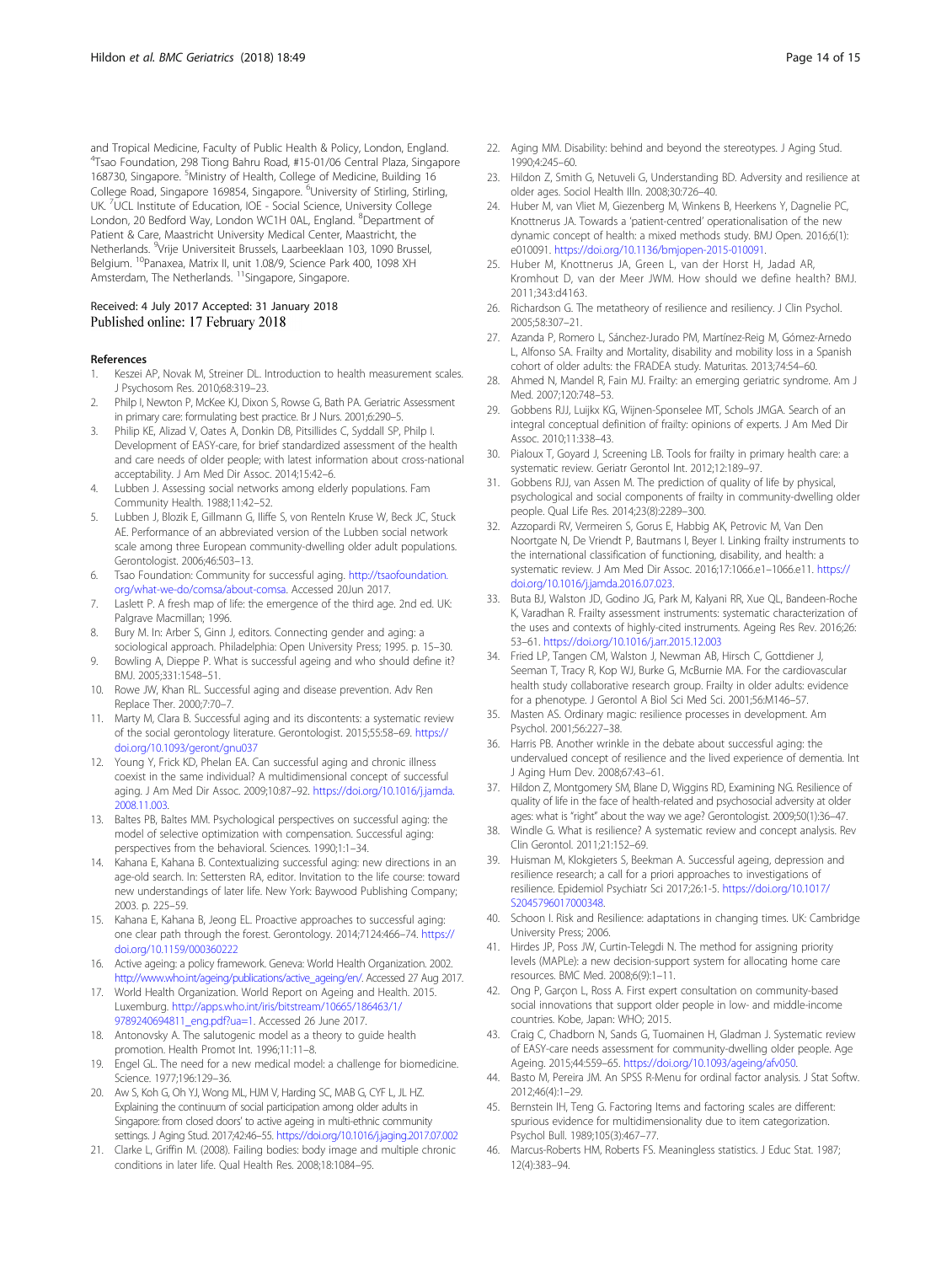<span id="page-13-0"></span>and Tropical Medicine, Faculty of Public Health & Policy, London, England. 4 Tsao Foundation, 298 Tiong Bahru Road, #15-01/06 Central Plaza, Singapore 168730, Singapore. <sup>5</sup>Ministry of Health, College of Medicine, Building 16 College Road, Singapore 169854, Singapore. <sup>6</sup>University of Stirling, Stirling, UK. <sup>7</sup>UCL Institute of Education, IOE - Social Science, University College London, 20 Bedford Way, London WC1H 0AL, England. <sup>8</sup>Department of Patient & Care, Maastricht University Medical Center, Maastricht, the Netherlands. <sup>9</sup>Vrije Universiteit Brussels, Laarbeeklaan 103, 1090 Brussel, Belgium. <sup>10</sup>Panaxea, Matrix II, unit 1.08/9, Science Park 400, 1098 XH Amsterdam, The Netherlands. <sup>11</sup>Singapore, Singapore.

## Received: 4 July 2017 Accepted: 31 January 2018 Published online: 17 February 2018

# References

- 1. Keszei AP, Novak M, Streiner DL. Introduction to health measurement scales. J Psychosom Res. 2010;68:319–23.
- Philp I, Newton P, McKee KJ, Dixon S, Rowse G, Bath PA. Geriatric Assessment in primary care: formulating best practice. Br J Nurs. 2001;6:290–5.
- 3. Philip KE, Alizad V, Oates A, Donkin DB, Pitsillides C, Syddall SP, Philp I. Development of EASY-care, for brief standardized assessment of the health and care needs of older people; with latest information about cross-national acceptability. J Am Med Dir Assoc. 2014;15:42–6.
- 4. Lubben J. Assessing social networks among elderly populations. Fam Community Health. 1988;11:42–52.
- 5. Lubben J, Blozik E, Gillmann G, Iliffe S, von Renteln Kruse W, Beck JC, Stuck AE. Performance of an abbreviated version of the Lubben social network scale among three European community-dwelling older adult populations. Gerontologist. 2006;46:503–13.
- 6. Tsao Foundation: Community for successful aging. [http://tsaofoundation.](http://tsaofoundation.org/what-we-do/comsa/about-comsa) [org/what-we-do/comsa/about-comsa](http://tsaofoundation.org/what-we-do/comsa/about-comsa). Accessed 20Jun 2017.
- 7. Laslett P. A fresh map of life: the emergence of the third age. 2nd ed. UK: Palgrave Macmillan; 1996.
- 8. Bury M. In: Arber S, Ginn J, editors. Connecting gender and aging: a sociological approach. Philadelphia: Open University Press; 1995. p. 15–30.
- 9. Bowling A, Dieppe P. What is successful ageing and who should define it? BMJ. 2005;331:1548–51.
- 10. Rowe JW, Khan RL. Successful aging and disease prevention. Adv Ren Replace Ther. 2000;7:70–7.
- 11. Marty M, Clara B. Successful aging and its discontents: a systematic review of the social gerontology literature. Gerontologist. 2015;55:58–69. [https://](https://doi.org/10.1093/geront/gnu037) [doi.org/10.1093/geront/gnu037](https://doi.org/10.1093/geront/gnu037)
- 12. Young Y, Frick KD, Phelan EA. Can successful aging and chronic illness coexist in the same individual? A multidimensional concept of successful aging. J Am Med Dir Assoc. 2009;10:87–92. [https://doi.org/10.1016/j.jamda.](https://doi.org/10.1016/j.jamda.2008.11.003) [2008.11.003.](https://doi.org/10.1016/j.jamda.2008.11.003)
- 13. Baltes PB, Baltes MM. Psychological perspectives on successful aging: the model of selective optimization with compensation. Successful aging: perspectives from the behavioral. Sciences. 1990;1:1–34.
- 14. Kahana E, Kahana B. Contextualizing successful aging: new directions in an age-old search. In: Settersten RA, editor. Invitation to the life course: toward new understandings of later life. New York: Baywood Publishing Company; 2003. p. 225–59.
- 15. Kahana E, Kahana B, Jeong EL. Proactive approaches to successful aging: one clear path through the forest. Gerontology. 2014;7124:466–74. [https://](https://doi.org/10.1159/000360222) [doi.org/10.1159/000360222](https://doi.org/10.1159/000360222)
- 16. Active ageing: a policy framework. Geneva: World Health Organization. 2002. [http://www.who.int/ageing/publications/active\\_ageing/en/](http://www.who.int/ageing/publications/active_ageing/en/). Accessed 27 Aug 2017.
- 17. World Health Organization. World Report on Ageing and Health. 2015. Luxemburg. [http://apps.who.int/iris/bitstream/10665/186463/1/](http://apps.who.int/iris/bitstream/10665/186463/1/9789240694811_eng.pdf?ua=1) [9789240694811\\_eng.pdf?ua=1.](http://apps.who.int/iris/bitstream/10665/186463/1/9789240694811_eng.pdf?ua=1) Accessed 26 June 2017.
- 18. Antonovsky A. The salutogenic model as a theory to guide health promotion. Health Promot Int. 1996;11:11–8.
- 19. Engel GL. The need for a new medical model: a challenge for biomedicine. Science. 1977;196:129–36.
- 20. Aw S, Koh G, Oh YJ, Wong ML, HJM V, Harding SC, MAB G, CYF L, JL HZ. Explaining the continuum of social participation among older adults in Singapore: from closed doors' to active ageing in multi-ethnic community settings. J Aging Stud. 2017;42:46–55. <https://doi.org/10.1016/j.jaging.2017.07.002>
- 21. Clarke L, Griffin M. (2008). Failing bodies: body image and multiple chronic conditions in later life. Qual Health Res. 2008;18:1084–95.
- 22. Aging MM. Disability: behind and beyond the stereotypes. J Aging Stud. 1990;4:245–60.
- 23. Hildon Z, Smith G, Netuveli G, Understanding BD. Adversity and resilience at older ages. Sociol Health Illn. 2008;30:726–40.
- 24. Huber M, van Vliet M, Giezenberg M, Winkens B, Heerkens Y, Dagnelie PC, Knottnerus JA. Towards a 'patient-centred' operationalisation of the new dynamic concept of health: a mixed methods study. BMJ Open. 2016;6(1): e010091. <https://doi.org/10.1136/bmjopen-2015-010091>.
- 25. Huber M, Knottnerus JA, Green L, van der Horst H, Jadad AR, Kromhout D, van der Meer JWM. How should we define health? BMJ. 2011;343:d4163.
- 26. Richardson G. The metatheory of resilience and resiliency. J Clin Psychol. 2005;58:307–21.
- 27. Azanda P, Romero L, Sánchez-Jurado PM, Martínez-Reig M, Gómez-Arnedo L, Alfonso SA. Frailty and Mortality, disability and mobility loss in a Spanish cohort of older adults: the FRADEA study. Maturitas. 2013;74:54–60.
- 28. Ahmed N, Mandel R, Fain MJ. Frailty: an emerging geriatric syndrome. Am J Med. 2007;120:748–53.
- 29. Gobbens RJJ, Luijkx KG, Wijnen-Sponselee MT, Schols JMGA. Search of an integral conceptual definition of frailty: opinions of experts. J Am Med Dir Assoc. 2010;11:338–43.
- 30. Pialoux T, Goyard J, Screening LB. Tools for frailty in primary health care: a systematic review. Geriatr Gerontol Int. 2012;12:189–97.
- 31. Gobbens RJJ, van Assen M. The prediction of quality of life by physical, psychological and social components of frailty in community-dwelling older people. Qual Life Res. 2014;23(8):2289–300.
- 32. Azzopardi RV, Vermeiren S, Gorus E, Habbig AK, Petrovic M, Van Den Noortgate N, De Vriendt P, Bautmans I, Beyer I. Linking frailty instruments to the international classification of functioning, disability, and health: a systematic review. J Am Med Dir Assoc. 2016;17:1066.e1–1066.e11. [https://](https://doi.org/10.1016/j.jamda.2016.07.023) [doi.org/10.1016/j.jamda.2016.07.023.](https://doi.org/10.1016/j.jamda.2016.07.023)
- 33. Buta BJ, Walston JD, Godino JG, Park M, Kalyani RR, Xue QL, Bandeen-Roche K, Varadhan R. Frailty assessment instruments: systematic characterization of the uses and contexts of highly-cited instruments. Ageing Res Rev. 2016;26: 53–61. <https://doi.org/10.1016/j.arr.2015.12.003>
- 34. Fried LP, Tangen CM, Walston J, Newman AB, Hirsch C, Gottdiener J, Seeman T, Tracy R, Kop WJ, Burke G, McBurnie MA. For the cardiovascular health study collaborative research group. Frailty in older adults: evidence for a phenotype. J Gerontol A Biol Sci Med Sci. 2001;56:M146–57.
- 35. Masten AS. Ordinary magic: resilience processes in development. Am Psychol. 2001;56:227–38.
- 36. Harris PB. Another wrinkle in the debate about successful aging: the undervalued concept of resilience and the lived experience of dementia. Int J Aging Hum Dev. 2008;67:43–61.
- 37. Hildon Z, Montgomery SM, Blane D, Wiggins RD, Examining NG. Resilience of quality of life in the face of health-related and psychosocial adversity at older ages: what is "right" about the way we age? Gerontologist. 2009;50(1):36–47.
- 38. Windle G. What is resilience? A systematic review and concept analysis. Rev Clin Gerontol. 2011;21:152–69.
- 39. Huisman M, Klokgieters S, Beekman A. Successful ageing, depression and resilience research; a call for a priori approaches to investigations of resilience. Epidemiol Psychiatr Sci 2017;26:1-5. [https://doi.org/10.1017/](https://doi.org/10.1017/S2045796017000348) [S2045796017000348.](https://doi.org/10.1017/S2045796017000348)
- 40. Schoon I. Risk and Resilience: adaptations in changing times. UK: Cambridge University Press; 2006.
- 41. Hirdes JP, Poss JW, Curtin-Telegdi N. The method for assigning priority levels (MAPLe): a new decision-support system for allocating home care resources. BMC Med. 2008;6(9):1–11.
- 42. Ong P, Garçon L, Ross A. First expert consultation on community-based social innovations that support older people in low- and middle-income countries. Kobe, Japan: WHO; 2015.
- 43. Craig C, Chadborn N, Sands G, Tuomainen H, Gladman J. Systematic review of EASY-care needs assessment for community-dwelling older people. Age Ageing. 2015;44:559–65. <https://doi.org/10.1093/ageing/afv050>.
- 44. Basto M, Pereira JM. An SPSS R-Menu for ordinal factor analysis. J Stat Softw. 2012;46(4):1–29.
- 45. Bernstein IH, Teng G. Factoring Items and factoring scales are different: spurious evidence for multidimensionality due to item categorization. Psychol Bull. 1989;105(3):467–77.
- 46. Marcus-Roberts HM, Roberts FS. Meaningless statistics. J Educ Stat. 1987; 12(4):383–94.